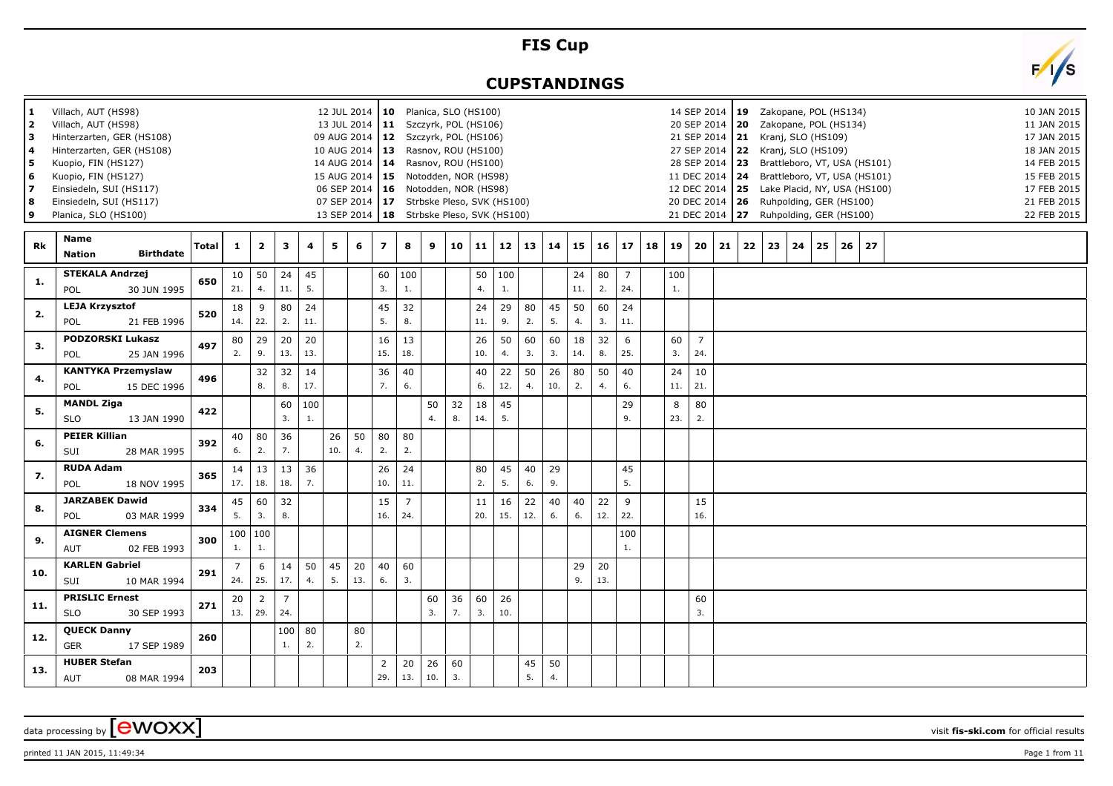## **FIS Cup**

## **CUPSTANDINGS**

| $\mathbf{2}$<br>з<br>4<br>5<br>6<br>$\overline{ }$<br>8<br>9 | Villach, AUT (HS98)<br>Villach, AUT (HS98)<br>Hinterzarten, GER (HS108)<br>Hinterzarten, GER (HS108)<br>Kuopio, FIN (HS127)<br>Kuopio, FIN (HS127)<br>Einsiedeln, SUI (HS117)<br>Einsiedeln, SUI (HS117)<br>Planica, SLO (HS100) |              |                       |                             |                       |           |           |           | 12 JUL 2014   10 Planica, SLO (HS100)<br>13 JUL 2014   11 Szczyrk, POL (HS106)<br>09 AUG 2014   12 Szczyrk, POL (HS106)<br>10 AUG 2014   13 Rasnov, ROU (HS100)<br>14 AUG 2014   14 Rasnov, ROU (HS100)<br>15 AUG 2014   15 Notodden, NOR (HS98)<br>06 SEP 2014   16 Notodden, NOR (HS98)<br>07 SEP 2014   17 Strbske Pleso, SVK (HS100)<br>13 SEP 2014   18 Strbske Pleso, SVK (HS100) |                       |           |          |           |           |           |                 |             |              |                       |    |           | 14 SEP 2014   19  Zakopane, POL (HS134)<br>20 SEP 2014   20 Zakopane, POL (HS134)<br>21 SEP 2014   21 Kranj, SLO (HS109)<br>27 SEP 2014 22 Kranj, SLO (HS109)<br>28 SEP 2014 23 Brattleboro, VT, USA (HS101)<br>11 DEC 2014 24 Brattleboro, VT, USA (HS101)<br>12 DEC 2014 25 Lake Placid, NY, USA (HS100)<br>20 DEC 2014   26 Ruhpolding, GER (HS100)<br>21 DEC 2014 27 Ruhpolding, GER (HS100) |              |    |    |    |    |    |    |  |  |  |  | 10 JAN 2015<br>11 JAN 2015<br>17 JAN 2015<br>18 JAN 2015<br>14 FEB 2015<br>15 FEB 2015<br>17 FEB 2015<br>21 FEB 2015<br>22 FEB 2015 |  |
|--------------------------------------------------------------|----------------------------------------------------------------------------------------------------------------------------------------------------------------------------------------------------------------------------------|--------------|-----------------------|-----------------------------|-----------------------|-----------|-----------|-----------|-----------------------------------------------------------------------------------------------------------------------------------------------------------------------------------------------------------------------------------------------------------------------------------------------------------------------------------------------------------------------------------------|-----------------------|-----------|----------|-----------|-----------|-----------|-----------------|-------------|--------------|-----------------------|----|-----------|--------------------------------------------------------------------------------------------------------------------------------------------------------------------------------------------------------------------------------------------------------------------------------------------------------------------------------------------------------------------------------------------------|--------------|----|----|----|----|----|----|--|--|--|--|-------------------------------------------------------------------------------------------------------------------------------------|--|
| Rk                                                           | Name<br><b>Birthdate</b><br><b>Nation</b>                                                                                                                                                                                        | <b>Total</b> | $\mathbf{1}$          | $\overline{2}$              | 3                     | 4         | 5         | 6         | $\overline{z}$                                                                                                                                                                                                                                                                                                                                                                          | 8                     | 9         | 10       | 11        | 12        | 13        | 14 <sup>1</sup> | 15          | $16 \mid 17$ |                       | 18 | 19        |                                                                                                                                                                                                                                                                                                                                                                                                  | $20 \mid 21$ | 22 | 23 | 24 | 25 | 26 | 27 |  |  |  |  |                                                                                                                                     |  |
| 1.                                                           | <b>STEKALA Andrzej</b><br>30 JUN 1995<br>POL                                                                                                                                                                                     | 650          | 10<br>21.             | 50<br>4.                    | 24<br>11.             | 45<br>5.  |           |           | 60<br>3.                                                                                                                                                                                                                                                                                                                                                                                | 100<br>1.             |           |          | 50<br>4.  | 100<br>1. |           |                 | 24<br>$11.$ | 80<br>2.     | $\overline{7}$<br>24. |    | 100<br>1. |                                                                                                                                                                                                                                                                                                                                                                                                  |              |    |    |    |    |    |    |  |  |  |  |                                                                                                                                     |  |
| 2.                                                           | <b>LEJA Krzysztof</b><br>POL<br>21 FEB 1996                                                                                                                                                                                      | 520          | 18<br>14.             | 9<br>22.                    | 80<br>2.              | 24<br>11. |           |           | 45<br>5.                                                                                                                                                                                                                                                                                                                                                                                | 32<br>8.              |           |          | 24<br>11. | 29<br>9.  | 80<br>2.  | 45<br>5.        | 50<br>4.    | 60<br>3.     | 24<br>11.             |    |           |                                                                                                                                                                                                                                                                                                                                                                                                  |              |    |    |    |    |    |    |  |  |  |  |                                                                                                                                     |  |
| 3.                                                           | <b>PODZORSKI Lukasz</b><br><b>POL</b><br>25 JAN 1996                                                                                                                                                                             | 497          | 80<br>2.              | 29<br>9.                    | 20<br>13.             | 20<br>13. |           |           | 16<br>15.                                                                                                                                                                                                                                                                                                                                                                               | 13<br>18.             |           |          | 26<br>10. | 50<br>4.  | 60<br>3.  | 60<br>3.        | 18<br>14.   | 32<br>8.     | 6<br>25.              |    | 60<br>3.  | $\overline{7}$<br>24.                                                                                                                                                                                                                                                                                                                                                                            |              |    |    |    |    |    |    |  |  |  |  |                                                                                                                                     |  |
| 4.                                                           | <b>KANTYKA Przemyslaw</b><br>POL<br>15 DEC 1996                                                                                                                                                                                  | 496          |                       | 32<br>8.                    | 32<br>8.              | 14<br>17. |           |           | 36<br>7.                                                                                                                                                                                                                                                                                                                                                                                | 40<br>6.              |           |          | 40<br>6.  | 22<br>12. | 50<br>4.  | 26<br>10.       | 80<br>2.    | 50<br>4.     | 40<br>6.              |    | 24<br>11. | 10<br>21.                                                                                                                                                                                                                                                                                                                                                                                        |              |    |    |    |    |    |    |  |  |  |  |                                                                                                                                     |  |
| 5.                                                           | <b>MANDL Ziga</b><br><b>SLO</b><br>13 JAN 1990                                                                                                                                                                                   | 422          |                       |                             | 60<br>3.              | 100<br>1. |           |           |                                                                                                                                                                                                                                                                                                                                                                                         |                       | 50<br>4.  | 32<br>8. | 18<br>14. | 45<br>5.  |           |                 |             |              | 29<br>9.              |    | 8<br>23.  | 80<br>2.                                                                                                                                                                                                                                                                                                                                                                                         |              |    |    |    |    |    |    |  |  |  |  |                                                                                                                                     |  |
| 6.                                                           | <b>PEIER Killian</b><br>28 MAR 1995<br>SUI                                                                                                                                                                                       | 392          | 40<br>6.              | 80<br>2.                    | 36<br>7.              |           | 26<br>10. | 50<br>4.  | 80<br>2.                                                                                                                                                                                                                                                                                                                                                                                | 80<br>2.              |           |          |           |           |           |                 |             |              |                       |    |           |                                                                                                                                                                                                                                                                                                                                                                                                  |              |    |    |    |    |    |    |  |  |  |  |                                                                                                                                     |  |
| 7.                                                           | <b>RUDA Adam</b><br>POL<br>18 NOV 1995                                                                                                                                                                                           | 365          | 14<br>17.             | 13<br>18.                   | 13<br>18.             | 36<br>7.  |           |           | 26<br>10.                                                                                                                                                                                                                                                                                                                                                                               | 24<br>11.             |           |          | 80<br>2.  | 45<br>5.  | 40<br>6.  | 29<br>9.        |             |              | 45<br>5.              |    |           |                                                                                                                                                                                                                                                                                                                                                                                                  |              |    |    |    |    |    |    |  |  |  |  |                                                                                                                                     |  |
| 8.                                                           | <b>JARZABEK Dawid</b><br>POL<br>03 MAR 1999                                                                                                                                                                                      | 334          | 45<br>5.              | 60<br>3.                    | 32<br>8.              |           |           |           | 15<br>16.                                                                                                                                                                                                                                                                                                                                                                               | $\overline{7}$<br>24. |           |          | 11<br>20. | 16<br>15. | 22<br>12. | 40<br>6.        | 40<br>6.    | 22<br>12.    | 9<br>22.              |    |           | 15<br>16.                                                                                                                                                                                                                                                                                                                                                                                        |              |    |    |    |    |    |    |  |  |  |  |                                                                                                                                     |  |
| 9.                                                           | <b>AIGNER Clemens</b><br>02 FEB 1993<br><b>AUT</b>                                                                                                                                                                               | 300          | 1.                    | 100 100<br>1.               |                       |           |           |           |                                                                                                                                                                                                                                                                                                                                                                                         |                       |           |          |           |           |           |                 |             |              | 100<br>1.             |    |           |                                                                                                                                                                                                                                                                                                                                                                                                  |              |    |    |    |    |    |    |  |  |  |  |                                                                                                                                     |  |
| 10.                                                          | <b>KARLEN Gabriel</b><br>SUI<br>10 MAR 1994                                                                                                                                                                                      | 291          | $\overline{7}$<br>24. | 6<br>25.                    | 14<br>17.             | 50<br>4.  | 45<br>5.  | 20<br>13. | 40<br>6.                                                                                                                                                                                                                                                                                                                                                                                | 60<br>3.              |           |          |           |           |           |                 | 29<br>9.    | 20<br>13.    |                       |    |           |                                                                                                                                                                                                                                                                                                                                                                                                  |              |    |    |    |    |    |    |  |  |  |  |                                                                                                                                     |  |
| 11.                                                          | <b>PRISLIC Ernest</b><br><b>SLO</b><br>30 SEP 1993                                                                                                                                                                               | 271          | 20                    | $\overline{2}$<br>13.   29. | $\overline{7}$<br>24. |           |           |           |                                                                                                                                                                                                                                                                                                                                                                                         |                       | 60<br>3.  | 36<br>7. | 60<br>3.  | 26<br>10. |           |                 |             |              |                       |    |           | 60<br>3.                                                                                                                                                                                                                                                                                                                                                                                         |              |    |    |    |    |    |    |  |  |  |  |                                                                                                                                     |  |
| 12.                                                          | <b>QUECK Danny</b><br><b>GER</b><br>17 SEP 1989                                                                                                                                                                                  | 260          |                       |                             | 100<br>1.             | 80<br>2.  |           | 80<br>2.  |                                                                                                                                                                                                                                                                                                                                                                                         |                       |           |          |           |           |           |                 |             |              |                       |    |           |                                                                                                                                                                                                                                                                                                                                                                                                  |              |    |    |    |    |    |    |  |  |  |  |                                                                                                                                     |  |
| 13.                                                          | <b>HUBER Stefan</b><br>AUT<br>08 MAR 1994                                                                                                                                                                                        | 203          |                       |                             |                       |           |           |           | $\overline{2}$<br>29.                                                                                                                                                                                                                                                                                                                                                                   | 20<br>13.             | 26<br>10. | 60<br>3. |           |           | 45<br>5.  | 50<br>4.        |             |              |                       |    |           |                                                                                                                                                                                                                                                                                                                                                                                                  |              |    |    |    |    |    |    |  |  |  |  |                                                                                                                                     |  |



printed 11 JAN 2015, 11:49:34 Page 1 from 11

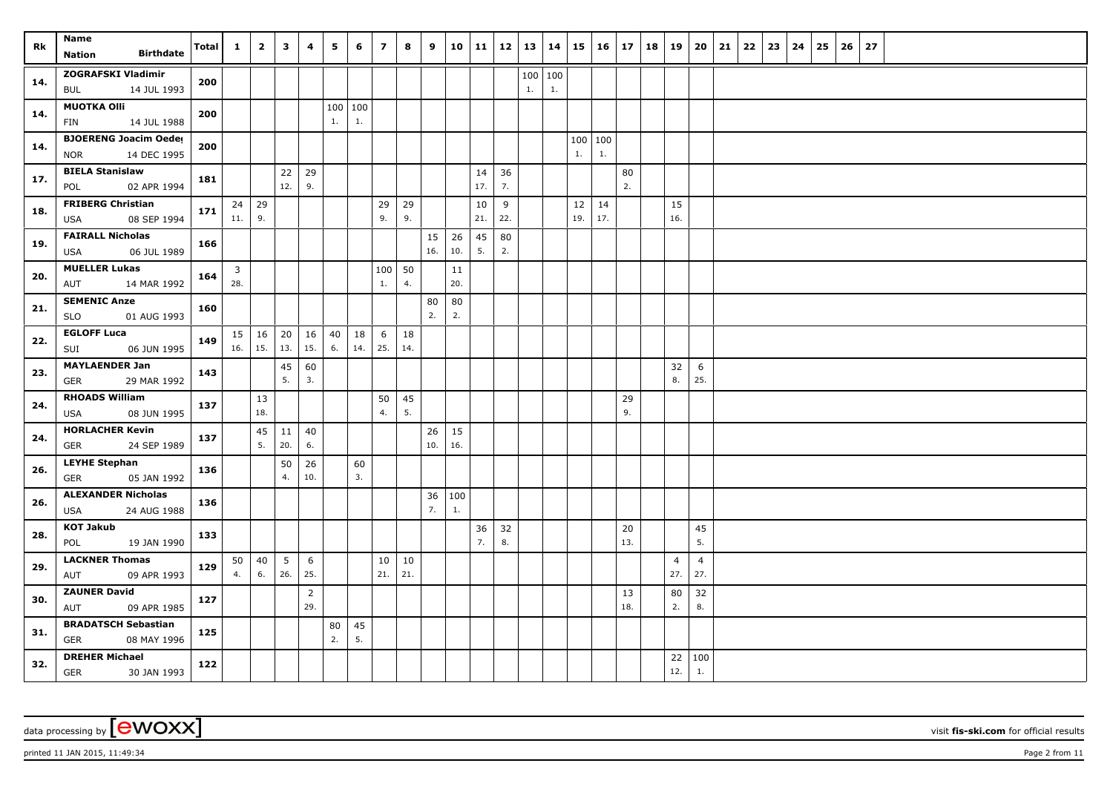| Rk  | Name                                        | <b>Total</b> | $\mathbf{1}$            | $\overline{2}$ | $\mathbf{3}$ | 4              | 5        | 6             | $\overline{ }$ | 8             | 9   | 10 11 |          |          | $12 \mid 13$ | 14  | 15            | $16 \mid 17$ |           | 18 | 19                    | 20                    | 21 | 22 | 23 | 24 | 25 | 26 | 27 |  |  |  |
|-----|---------------------------------------------|--------------|-------------------------|----------------|--------------|----------------|----------|---------------|----------------|---------------|-----|-------|----------|----------|--------------|-----|---------------|--------------|-----------|----|-----------------------|-----------------------|----|----|----|----|----|----|----|--|--|--|
|     | <b>Birthdate</b><br>Nation                  |              |                         |                |              |                |          |               |                |               |     |       |          |          |              |     |               |              |           |    |                       |                       |    |    |    |    |    |    |    |  |  |  |
| 14. | <b>ZOGRAFSKI Vladimir</b>                   | 200          |                         |                |              |                |          |               |                |               |     |       |          |          | 100          | 100 |               |              |           |    |                       |                       |    |    |    |    |    |    |    |  |  |  |
|     | 14 JUL 1993<br>BUL                          |              |                         |                |              |                |          |               |                |               |     |       |          |          | 1.           | 1.  |               |              |           |    |                       |                       |    |    |    |    |    |    |    |  |  |  |
| 14. | <b>MUOTKA OIII</b><br>14 JUL 1988           | 200          |                         |                |              |                | 1.       | 100 100<br>1. |                |               |     |       |          |          |              |     |               |              |           |    |                       |                       |    |    |    |    |    |    |    |  |  |  |
|     | <b>FIN</b><br><b>BJOERENG Joacim Oeder</b>  |              |                         |                |              |                |          |               |                |               |     |       |          |          |              |     |               |              |           |    |                       |                       |    |    |    |    |    |    |    |  |  |  |
| 14. | 14 DEC 1995<br><b>NOR</b>                   | 200          |                         |                |              |                |          |               |                |               |     |       |          |          |              |     | 100 100<br>1. | 1.           |           |    |                       |                       |    |    |    |    |    |    |    |  |  |  |
|     | <b>BIELA Stanislaw</b>                      |              |                         |                | 22           | 29             |          |               |                |               |     |       | 14       | 36       |              |     |               |              | 80        |    |                       |                       |    |    |    |    |    |    |    |  |  |  |
| 17. | POL<br>02 APR 1994                          | 181          |                         |                | 12.          | 9.             |          |               |                |               |     |       | 17.      | 7.       |              |     |               |              | 2.        |    |                       |                       |    |    |    |    |    |    |    |  |  |  |
| 18. | <b>FRIBERG Christian</b>                    | 171          |                         | $24$ 29        |              |                |          |               | 29             | 29            |     |       | 10       | 9        |              |     | 12            | 14           |           |    | 15                    |                       |    |    |    |    |    |    |    |  |  |  |
|     | 08 SEP 1994<br>USA                          |              | 11.                     | 9.             |              |                |          |               | 9.             | 9.            |     |       | 21.      | 22.      |              |     | 19.           | 17.          |           |    | 16.                   |                       |    |    |    |    |    |    |    |  |  |  |
| 19. | <b>FAIRALL Nicholas</b>                     | 166          |                         |                |              |                |          |               |                |               | 15  | 26    | 45       | 80       |              |     |               |              |           |    |                       |                       |    |    |    |    |    |    |    |  |  |  |
|     | 06 JUL 1989<br>USA                          |              |                         |                |              |                |          |               |                |               | 16. | 10.   | 5.       | 2.       |              |     |               |              |           |    |                       |                       |    |    |    |    |    |    |    |  |  |  |
| 20. | <b>MUELLER Lukas</b>                        | 164          | $\overline{\mathbf{3}}$ |                |              |                |          |               | 100            | 50            |     | 11    |          |          |              |     |               |              |           |    |                       |                       |    |    |    |    |    |    |    |  |  |  |
|     | 14 MAR 1992<br>AUT                          |              | 28.                     |                |              |                |          |               | 1.             | 4.            |     | 20.   |          |          |              |     |               |              |           |    |                       |                       |    |    |    |    |    |    |    |  |  |  |
| 21. | <b>SEMENIC Anze</b>                         | 160          |                         |                |              |                |          |               |                |               | 80  | 80    |          |          |              |     |               |              |           |    |                       |                       |    |    |    |    |    |    |    |  |  |  |
|     | 01 AUG 1993<br>SLO                          |              |                         |                |              |                |          |               |                |               | 2.  | 2.    |          |          |              |     |               |              |           |    |                       |                       |    |    |    |    |    |    |    |  |  |  |
| 22. | <b>EGLOFF Luca</b><br>06 JUN 1995<br>SUI    | 149          | $16.$ 15.               | $15 \mid 16$   | 20<br>13.    | 16<br>15.      | 40<br>6. | 18<br>14.     | 6<br>25.       | 18<br>14.     |     |       |          |          |              |     |               |              |           |    |                       |                       |    |    |    |    |    |    |    |  |  |  |
|     | <b>MAYLAENDER Jan</b>                       |              |                         |                | 45           | 60             |          |               |                |               |     |       |          |          |              |     |               |              |           |    | 32                    | 6                     |    |    |    |    |    |    |    |  |  |  |
| 23. | 29 MAR 1992<br><b>GER</b>                   | 143          |                         |                | 5.           | 3.             |          |               |                |               |     |       |          |          |              |     |               |              |           |    | $\bf 8.$              | 25.                   |    |    |    |    |    |    |    |  |  |  |
|     | <b>RHOADS William</b>                       |              |                         | 13             |              |                |          |               | 50             | 45            |     |       |          |          |              |     |               |              | 29        |    |                       |                       |    |    |    |    |    |    |    |  |  |  |
| 24. | 08 JUN 1995<br><b>USA</b>                   | 137          |                         | 18.            |              |                |          |               | 4.             | 5.            |     |       |          |          |              |     |               |              | 9.        |    |                       |                       |    |    |    |    |    |    |    |  |  |  |
| 24. | <b>HORLACHER Kevin</b>                      | 137          |                         | 45             | 11           | 40             |          |               |                |               | 26  | 15    |          |          |              |     |               |              |           |    |                       |                       |    |    |    |    |    |    |    |  |  |  |
|     | 24 SEP 1989<br>GER                          |              |                         | 5.             | 20.          | 6.             |          |               |                |               | 10. | 16.   |          |          |              |     |               |              |           |    |                       |                       |    |    |    |    |    |    |    |  |  |  |
| 26. | <b>LEYHE Stephan</b>                        | 136          |                         |                | 50           | 26             |          | 60            |                |               |     |       |          |          |              |     |               |              |           |    |                       |                       |    |    |    |    |    |    |    |  |  |  |
|     | <b>GER</b><br>05 JAN 1992                   |              |                         |                | 4.           | 10.            |          | 3.            |                |               |     |       |          |          |              |     |               |              |           |    |                       |                       |    |    |    |    |    |    |    |  |  |  |
| 26. | <b>ALEXANDER Nicholas</b>                   | 136          |                         |                |              |                |          |               |                |               | 36  | 100   |          |          |              |     |               |              |           |    |                       |                       |    |    |    |    |    |    |    |  |  |  |
|     | 24 AUG 1988<br>USA                          |              |                         |                |              |                |          |               |                |               | 7.  | 1.    |          |          |              |     |               |              |           |    |                       |                       |    |    |    |    |    |    |    |  |  |  |
| 28. | <b>KOT Jakub</b>                            | 133          |                         |                |              |                |          |               |                |               |     |       | 36<br>7. | 32<br>8. |              |     |               |              | 20<br>13. |    |                       | 45<br>5.              |    |    |    |    |    |    |    |  |  |  |
|     | 19 JAN 1990<br>POL<br><b>LACKNER Thomas</b> |              |                         |                |              |                |          |               |                |               |     |       |          |          |              |     |               |              |           |    |                       |                       |    |    |    |    |    |    |    |  |  |  |
| 29. | 09 APR 1993<br>AUT                          | 129          | 50<br>4.                | 40<br>6.       | 5<br>26.     | 6<br>25.       |          |               | 10<br>21.      | $10\,$<br>21. |     |       |          |          |              |     |               |              |           |    | $\overline{4}$<br>27. | $\overline{4}$<br>27. |    |    |    |    |    |    |    |  |  |  |
|     | <b>ZAUNER David</b>                         |              |                         |                |              | $\overline{2}$ |          |               |                |               |     |       |          |          |              |     |               |              | 13        |    | 80                    | 32                    |    |    |    |    |    |    |    |  |  |  |
| 30. | AUT<br>09 APR 1985                          | 127          |                         |                |              | 29.            |          |               |                |               |     |       |          |          |              |     |               |              | 18.       |    | 2.                    | 8.                    |    |    |    |    |    |    |    |  |  |  |
|     | <b>BRADATSCH Sebastian</b>                  |              |                         |                |              |                | 80       | 45            |                |               |     |       |          |          |              |     |               |              |           |    |                       |                       |    |    |    |    |    |    |    |  |  |  |
| 31. | <b>GER</b><br>08 MAY 1996                   | 125          |                         |                |              |                | 2.       | 5.            |                |               |     |       |          |          |              |     |               |              |           |    |                       |                       |    |    |    |    |    |    |    |  |  |  |
| 32. | <b>DREHER Michael</b>                       | 122          |                         |                |              |                |          |               |                |               |     |       |          |          |              |     |               |              |           |    | 22                    | 100                   |    |    |    |    |    |    |    |  |  |  |
|     | <b>GER</b><br>30 JAN 1993                   |              |                         |                |              |                |          |               |                |               |     |       |          |          |              |     |               |              |           |    | 12.                   | $1. \,$               |    |    |    |    |    |    |    |  |  |  |

printed 11 JAN 2015, 11:49:34 Page 2 from 11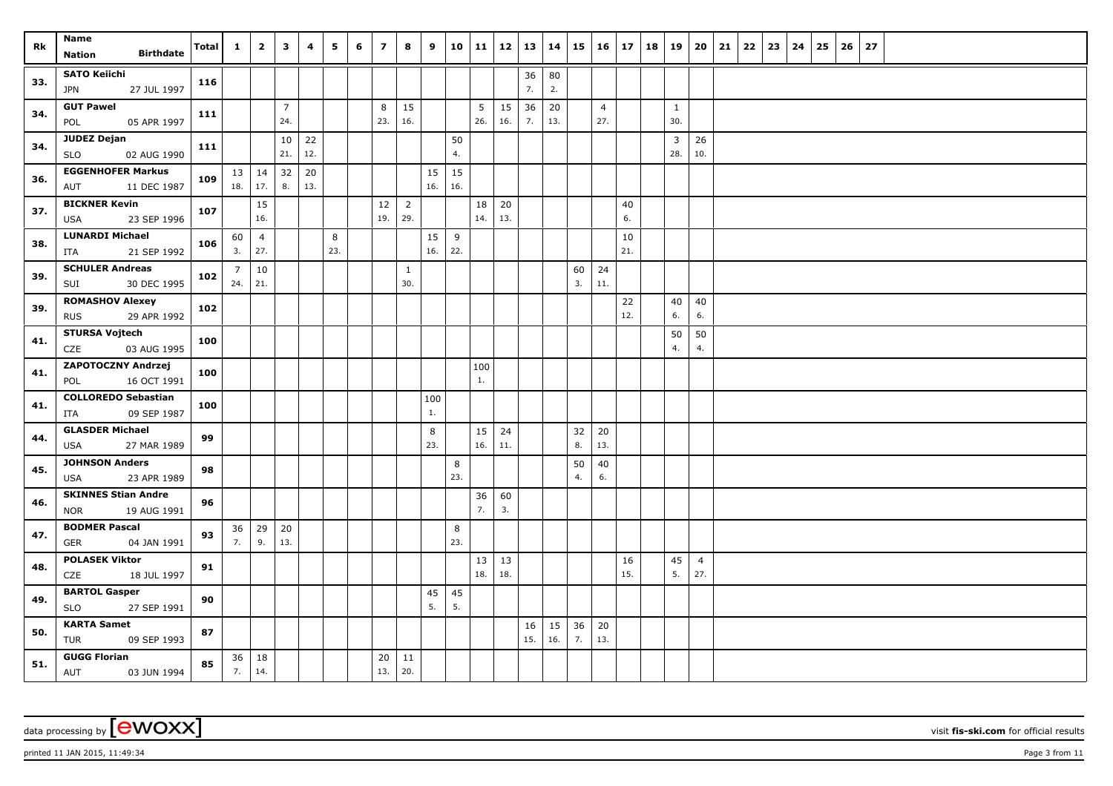| Rk  | Name<br><b>Birthdate</b><br>Nation               | Total | $\mathbf{1}$   | $\overline{2}$      | 3              | 4   | 5   | 6 | $\overline{7}$ | 8              | 9   | 10 11 |           |           | $12 \mid 13$ | 14       | 15 | $16 \mid 17$   |           | 18 | 19           | 20                    | 21 | 22 | 23 | 24 | 25 | 26 | 27 |  |
|-----|--------------------------------------------------|-------|----------------|---------------------|----------------|-----|-----|---|----------------|----------------|-----|-------|-----------|-----------|--------------|----------|----|----------------|-----------|----|--------------|-----------------------|----|----|----|----|----|----|----|--|
|     |                                                  |       |                |                     |                |     |     |   |                |                |     |       |           |           |              |          |    |                |           |    |              |                       |    |    |    |    |    |    |    |  |
| 33. | <b>SATO Keiichi</b><br>27 JUL 1997<br><b>JPN</b> | 116   |                |                     |                |     |     |   |                |                |     |       |           |           | 36<br>7.     | 80<br>2. |    |                |           |    |              |                       |    |    |    |    |    |    |    |  |
|     | <b>GUT Pawel</b>                                 |       |                |                     | $\overline{7}$ |     |     |   | 8              | 15             |     |       | 5         | 15        | 36           | 20       |    | $\overline{4}$ |           |    | $\mathbf{1}$ |                       |    |    |    |    |    |    |    |  |
| 34. | POL<br>05 APR 1997                               | 111   |                |                     | 24.            |     |     |   | 23.            | 16.            |     |       | 26.       | 16.       | 7.           | 13.      |    | 27.            |           |    | 30.          |                       |    |    |    |    |    |    |    |  |
|     | JUDEZ Dejan                                      |       |                |                     | 10             | 22  |     |   |                |                |     | 50    |           |           |              |          |    |                |           |    | 3            | 26                    |    |    |    |    |    |    |    |  |
| 34. | <b>SLO</b><br>02 AUG 1990                        | 111   |                |                     | 21.            | 12. |     |   |                |                |     | 4.    |           |           |              |          |    |                |           |    | 28.          | 10.                   |    |    |    |    |    |    |    |  |
|     | <b>EGGENHOFER Markus</b>                         | 109   |                | $13 \mid 14$        | 32             | 20  |     |   |                |                | 15  | 15    |           |           |              |          |    |                |           |    |              |                       |    |    |    |    |    |    |    |  |
| 36. | 11 DEC 1987<br>AUT                               |       |                | $18.$ 17.           | 8.             | 13. |     |   |                |                | 16. | 16.   |           |           |              |          |    |                |           |    |              |                       |    |    |    |    |    |    |    |  |
| 37. | <b>BICKNER Kevin</b>                             | 107   |                | 15                  |                |     |     |   | 12             | $\overline{2}$ |     |       | 18        | 20        |              |          |    |                | 40        |    |              |                       |    |    |    |    |    |    |    |  |
|     | 23 SEP 1996<br>USA                               |       |                | 16.                 |                |     |     |   | 19.            | 29.            |     |       | 14.       | 13.       |              |          |    |                | 6.        |    |              |                       |    |    |    |    |    |    |    |  |
| 38. | <b>LUNARDI Michael</b>                           | 106   | 60             | $\overline{4}$      |                |     | 8   |   |                |                | 15  | 9     |           |           |              |          |    |                | 10        |    |              |                       |    |    |    |    |    |    |    |  |
|     | 21 SEP 1992<br>ITA                               |       | 3.             | 27.                 |                |     | 23. |   |                |                | 16. | 22.   |           |           |              |          |    |                | 21.       |    |              |                       |    |    |    |    |    |    |    |  |
| 39. | <b>SCHULER Andreas</b>                           | 102   | $\overline{7}$ | 10                  |                |     |     |   |                | $\mathbf{1}$   |     |       |           |           |              |          | 60 | 24             |           |    |              |                       |    |    |    |    |    |    |    |  |
|     | 30 DEC 1995<br>SUI                               |       | 24.            | $21.$               |                |     |     |   |                | 30.            |     |       |           |           |              |          | 3. | 11.            |           |    |              |                       |    |    |    |    |    |    |    |  |
| 39. | <b>ROMASHOV Alexey</b>                           | 102   |                |                     |                |     |     |   |                |                |     |       |           |           |              |          |    |                | 22<br>12. |    | 40<br>6.     | 40<br>6.              |    |    |    |    |    |    |    |  |
|     | 29 APR 1992<br><b>RUS</b>                        |       |                |                     |                |     |     |   |                |                |     |       |           |           |              |          |    |                |           |    |              |                       |    |    |    |    |    |    |    |  |
| 41. | <b>STURSA Vojtech</b><br>CZE<br>03 AUG 1995      | 100   |                |                     |                |     |     |   |                |                |     |       |           |           |              |          |    |                |           |    | 50<br>4.     | 50<br>4.              |    |    |    |    |    |    |    |  |
|     | <b>ZAPOTOCZNY Andrzej</b>                        |       |                |                     |                |     |     |   |                |                |     |       | 100       |           |              |          |    |                |           |    |              |                       |    |    |    |    |    |    |    |  |
| 41. | 16 OCT 1991<br>POL                               | 100   |                |                     |                |     |     |   |                |                |     |       | 1.        |           |              |          |    |                |           |    |              |                       |    |    |    |    |    |    |    |  |
|     | <b>COLLOREDO Sebastian</b>                       |       |                |                     |                |     |     |   |                |                | 100 |       |           |           |              |          |    |                |           |    |              |                       |    |    |    |    |    |    |    |  |
| 41. | 09 SEP 1987<br>ITA                               | 100   |                |                     |                |     |     |   |                |                | 1.  |       |           |           |              |          |    |                |           |    |              |                       |    |    |    |    |    |    |    |  |
|     | <b>GLASDER Michael</b>                           |       |                |                     |                |     |     |   |                |                | 8   |       | 15        | 24        |              |          | 32 | 20             |           |    |              |                       |    |    |    |    |    |    |    |  |
| 44. | USA<br>27 MAR 1989                               | 99    |                |                     |                |     |     |   |                |                | 23. |       | 16.       | 11.       |              |          | 8. | 13.            |           |    |              |                       |    |    |    |    |    |    |    |  |
| 45. | <b>JOHNSON Anders</b>                            | 98    |                |                     |                |     |     |   |                |                |     | 8     |           |           |              |          | 50 | 40             |           |    |              |                       |    |    |    |    |    |    |    |  |
|     | 23 APR 1989<br>USA                               |       |                |                     |                |     |     |   |                |                |     | 23.   |           |           |              |          | 4. | 6.             |           |    |              |                       |    |    |    |    |    |    |    |  |
| 46. | <b>SKINNES Stian Andre</b>                       | 96    |                |                     |                |     |     |   |                |                |     |       | 36        | 60        |              |          |    |                |           |    |              |                       |    |    |    |    |    |    |    |  |
|     | 19 AUG 1991<br><b>NOR</b>                        |       |                |                     |                |     |     |   |                |                |     |       | 7.        | 3.        |              |          |    |                |           |    |              |                       |    |    |    |    |    |    |    |  |
| 47. | <b>BODMER Pascal</b>                             | 93    | 36             | 29                  | 20             |     |     |   |                |                |     | 8     |           |           |              |          |    |                |           |    |              |                       |    |    |    |    |    |    |    |  |
|     | 04 JAN 1991<br>GER                               |       | 7.             | 9.                  | 13.            |     |     |   |                |                |     | 23.   |           |           |              |          |    |                |           |    |              |                       |    |    |    |    |    |    |    |  |
| 48. | <b>POLASEK Viktor</b><br>CZE<br>18 JUL 1997      | 91    |                |                     |                |     |     |   |                |                |     |       | 13<br>18. | 13<br>18. |              |          |    |                | 16<br>15. |    | 45<br>5.     | $\overline{4}$<br>27. |    |    |    |    |    |    |    |  |
|     | <b>BARTOL Gasper</b>                             |       |                |                     |                |     |     |   |                |                | 45  | 45    |           |           |              |          |    |                |           |    |              |                       |    |    |    |    |    |    |    |  |
| 49. | <b>SLO</b><br>27 SEP 1991                        | 90    |                |                     |                |     |     |   |                |                | 5.  | 5.    |           |           |              |          |    |                |           |    |              |                       |    |    |    |    |    |    |    |  |
|     | <b>KARTA Samet</b>                               |       |                |                     |                |     |     |   |                |                |     |       |           |           | 16           | 15       | 36 | 20             |           |    |              |                       |    |    |    |    |    |    |    |  |
| 50. | <b>TUR</b><br>09 SEP 1993                        | 87    |                |                     |                |     |     |   |                |                |     |       |           |           | 15.          | 16.      | 7. | 13.            |           |    |              |                       |    |    |    |    |    |    |    |  |
| 51. | <b>GUGG Florian</b><br>AUT<br>03 JUN 1994        | 85    | 7.             | $36 \mid 18$<br>14. |                |     |     |   | 20<br>13.      | 11<br>20.      |     |       |           |           |              |          |    |                |           |    |              |                       |    |    |    |    |    |    |    |  |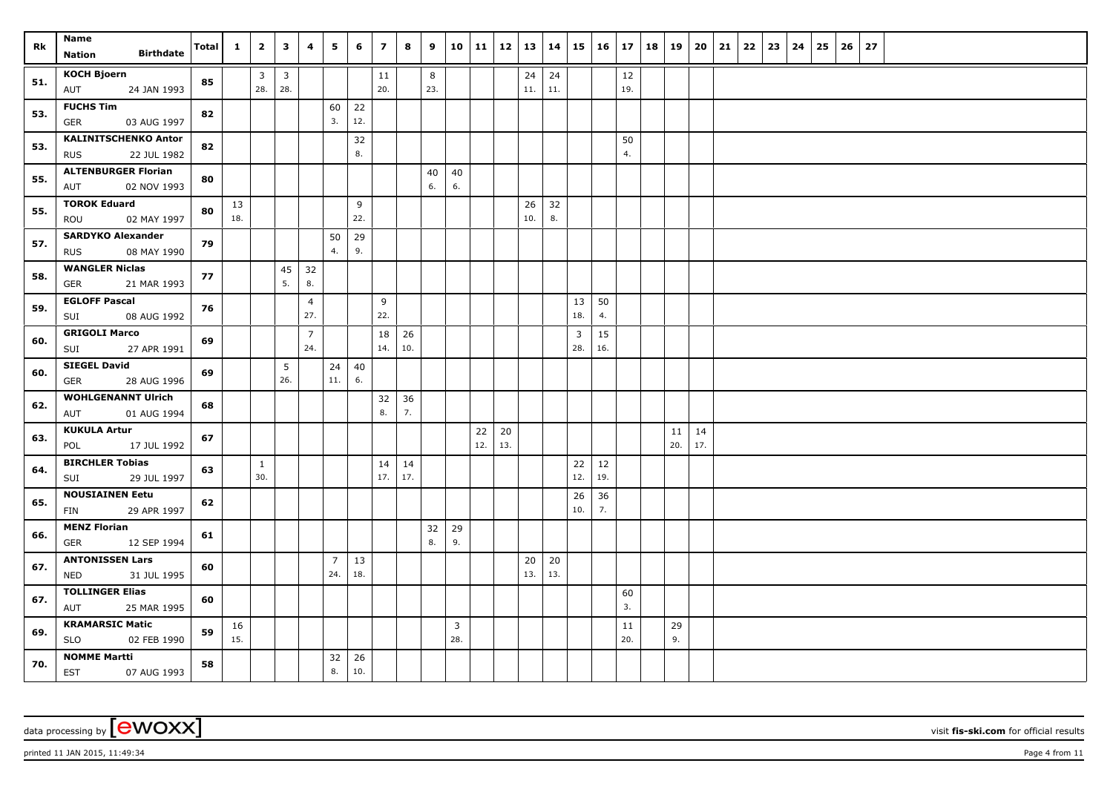| Rk  | Name                                                     | Total | $\mathbf{1}$ | $\overline{2}$ | $\mathbf{3}$            | $\overline{4}$        | 5              | 6        | $\overline{7}$ | 8         | 9   |              | 10   11 |     | $12$   13   14 |     |                                | $15 \mid 16 \mid 17 \mid 18 \mid 19$ |          |     | 20  | 21 | $22 \mid 23$ | 24 | 25 | 26 | 27 |  |
|-----|----------------------------------------------------------|-------|--------------|----------------|-------------------------|-----------------------|----------------|----------|----------------|-----------|-----|--------------|---------|-----|----------------|-----|--------------------------------|--------------------------------------|----------|-----|-----|----|--------------|----|----|----|----|--|
|     | <b>Birthdate</b><br>Nation                               |       |              |                |                         |                       |                |          |                |           |     |              |         |     |                |     |                                |                                      |          |     |     |    |              |    |    |    |    |  |
| 51. | <b>KOCH Bjoern</b>                                       | 85    |              | $\overline{3}$ | $\overline{\mathbf{3}}$ |                       |                |          | 11             |           | 8   |              |         |     | 24             | 24  |                                |                                      | 12       |     |     |    |              |    |    |    |    |  |
|     | 24 JAN 1993<br>AUT                                       |       |              | 28.            | 28.                     |                       |                |          | 20.            |           | 23. |              |         |     | 11.            | 11. |                                |                                      | 19.      |     |     |    |              |    |    |    |    |  |
| 53. | <b>FUCHS Tim</b>                                         | 82    |              |                |                         |                       | 60             | 22       |                |           |     |              |         |     |                |     |                                |                                      |          |     |     |    |              |    |    |    |    |  |
|     | <b>GER</b><br>03 AUG 1997                                |       |              |                |                         |                       | 3.             | 12.      |                |           |     |              |         |     |                |     |                                |                                      |          |     |     |    |              |    |    |    |    |  |
| 53. | <b>KALINITSCHENKO Anton</b><br>22 JUL 1982<br><b>RUS</b> | 82    |              |                |                         |                       |                | 32<br>8. |                |           |     |              |         |     |                |     |                                |                                      | 50<br>4. |     |     |    |              |    |    |    |    |  |
|     | <b>ALTENBURGER Florian</b>                               |       |              |                |                         |                       |                |          |                |           | 40  | 40           |         |     |                |     |                                |                                      |          |     |     |    |              |    |    |    |    |  |
| 55. | AUT<br>02 NOV 1993                                       | 80    |              |                |                         |                       |                |          |                |           | 6.  | 6.           |         |     |                |     |                                |                                      |          |     |     |    |              |    |    |    |    |  |
|     | <b>TOROK Eduard</b>                                      |       | 13           |                |                         |                       |                | 9        |                |           |     |              |         |     | 26             | 32  |                                |                                      |          |     |     |    |              |    |    |    |    |  |
| 55. | ROU<br>02 MAY 1997                                       | 80    | 18.          |                |                         |                       |                | 22.      |                |           |     |              |         |     | 10.            | 8.  |                                |                                      |          |     |     |    |              |    |    |    |    |  |
| 57. | <b>SARDYKO Alexander</b>                                 | 79    |              |                |                         |                       | 50             | 29       |                |           |     |              |         |     |                |     |                                |                                      |          |     |     |    |              |    |    |    |    |  |
|     | 08 MAY 1990<br><b>RUS</b>                                |       |              |                |                         |                       | 4.             | 9.       |                |           |     |              |         |     |                |     |                                |                                      |          |     |     |    |              |    |    |    |    |  |
| 58. | <b>WANGLER Niclas</b>                                    | 77    |              |                | 45                      | 32                    |                |          |                |           |     |              |         |     |                |     |                                |                                      |          |     |     |    |              |    |    |    |    |  |
|     | <b>GER</b><br>21 MAR 1993                                |       |              |                | 5.                      | 8.                    |                |          |                |           |     |              |         |     |                |     |                                |                                      |          |     |     |    |              |    |    |    |    |  |
| 59. | <b>EGLOFF Pascal</b>                                     | 76    |              |                |                         | $\overline{4}$<br>27. |                |          | 9<br>22.       |           |     |              |         |     |                |     | 13<br>18.                      | 50<br>4.                             |          |     |     |    |              |    |    |    |    |  |
|     | 08 AUG 1992<br>SUI<br><b>GRIGOLI Marco</b>               |       |              |                |                         |                       |                |          |                |           |     |              |         |     |                |     |                                |                                      |          |     |     |    |              |    |    |    |    |  |
| 60. | 27 APR 1991<br>SUI                                       | 69    |              |                |                         | $\overline{7}$<br>24. |                |          | 18<br>14.      | 26<br>10. |     |              |         |     |                |     | $\overline{\mathbf{3}}$<br>28. | 15<br>16.                            |          |     |     |    |              |    |    |    |    |  |
|     | <b>SIEGEL David</b>                                      |       |              |                | 5                       |                       | 24             | 40       |                |           |     |              |         |     |                |     |                                |                                      |          |     |     |    |              |    |    |    |    |  |
| 60. | <b>GER</b><br>28 AUG 1996                                | 69    |              |                | 26.                     |                       | 11.            | 6.       |                |           |     |              |         |     |                |     |                                |                                      |          |     |     |    |              |    |    |    |    |  |
| 62. | <b>WOHLGENANNT Ulrich</b>                                | 68    |              |                |                         |                       |                |          | 32             | 36        |     |              |         |     |                |     |                                |                                      |          |     |     |    |              |    |    |    |    |  |
|     | AUT<br>01 AUG 1994                                       |       |              |                |                         |                       |                |          | 8.             | 7.        |     |              |         |     |                |     |                                |                                      |          |     |     |    |              |    |    |    |    |  |
| 63. | <b>KUKULA Artur</b>                                      | 67    |              |                |                         |                       |                |          |                |           |     |              | 22      | 20  |                |     |                                |                                      |          | 11  | 14  |    |              |    |    |    |    |  |
|     | 17 JUL 1992<br>POL                                       |       |              |                |                         |                       |                |          |                |           |     |              | 12.     | 13. |                |     |                                |                                      |          | 20. | 17. |    |              |    |    |    |    |  |
| 64. | <b>BIRCHLER Tobias</b>                                   | 63    |              | <sup>1</sup>   |                         |                       |                |          | 14             | 14        |     |              |         |     |                |     | 22                             | 12                                   |          |     |     |    |              |    |    |    |    |  |
|     | 29 JUL 1997<br>SUI                                       |       |              | 30.            |                         |                       |                |          | 17.            | 17.       |     |              |         |     |                |     | 12.                            | 19.                                  |          |     |     |    |              |    |    |    |    |  |
| 65. | <b>NOUSIAINEN Eetu</b><br>29 APR 1997<br>FIN             | 62    |              |                |                         |                       |                |          |                |           |     |              |         |     |                |     | 26<br>10.                      | 36<br>7.                             |          |     |     |    |              |    |    |    |    |  |
|     | <b>MENZ Florian</b>                                      |       |              |                |                         |                       |                |          |                |           | 32  | 29           |         |     |                |     |                                |                                      |          |     |     |    |              |    |    |    |    |  |
| 66. | 12 SEP 1994<br><b>GER</b>                                | 61    |              |                |                         |                       |                |          |                |           | 8.  | 9.           |         |     |                |     |                                |                                      |          |     |     |    |              |    |    |    |    |  |
|     | <b>ANTONISSEN Lars</b>                                   |       |              |                |                         |                       | $\overline{7}$ | 13       |                |           |     |              |         |     | 20             | 20  |                                |                                      |          |     |     |    |              |    |    |    |    |  |
| 67. | 31 JUL 1995<br><b>NED</b>                                | 60    |              |                |                         |                       | 24.            | 18.      |                |           |     |              |         |     | 13.            | 13. |                                |                                      |          |     |     |    |              |    |    |    |    |  |
| 67. | <b>TOLLINGER Elias</b>                                   | 60    |              |                |                         |                       |                |          |                |           |     |              |         |     |                |     |                                |                                      | 60       |     |     |    |              |    |    |    |    |  |
|     | 25 MAR 1995<br>AUT                                       |       |              |                |                         |                       |                |          |                |           |     |              |         |     |                |     |                                |                                      | 3.       |     |     |    |              |    |    |    |    |  |
| 69. | <b>KRAMARSIC Matic</b>                                   | 59    | 16           |                |                         |                       |                |          |                |           |     | $\mathbf{3}$ |         |     |                |     |                                |                                      | 11       | 29  |     |    |              |    |    |    |    |  |
|     | <b>SLO</b><br>02 FEB 1990                                |       | 15.          |                |                         |                       |                |          |                |           |     | 28.          |         |     |                |     |                                |                                      | 20.      | 9.  |     |    |              |    |    |    |    |  |
| 70. | <b>NOMME Martti</b>                                      | 58    |              |                |                         |                       | 32             | 26       |                |           |     |              |         |     |                |     |                                |                                      |          |     |     |    |              |    |    |    |    |  |
|     | <b>EST</b><br>07 AUG 1993                                |       |              |                |                         |                       | 8.             | 10.      |                |           |     |              |         |     |                |     |                                |                                      |          |     |     |    |              |    |    |    |    |  |

printed 11 JAN 2015, 11:49:34 Page 4 from 11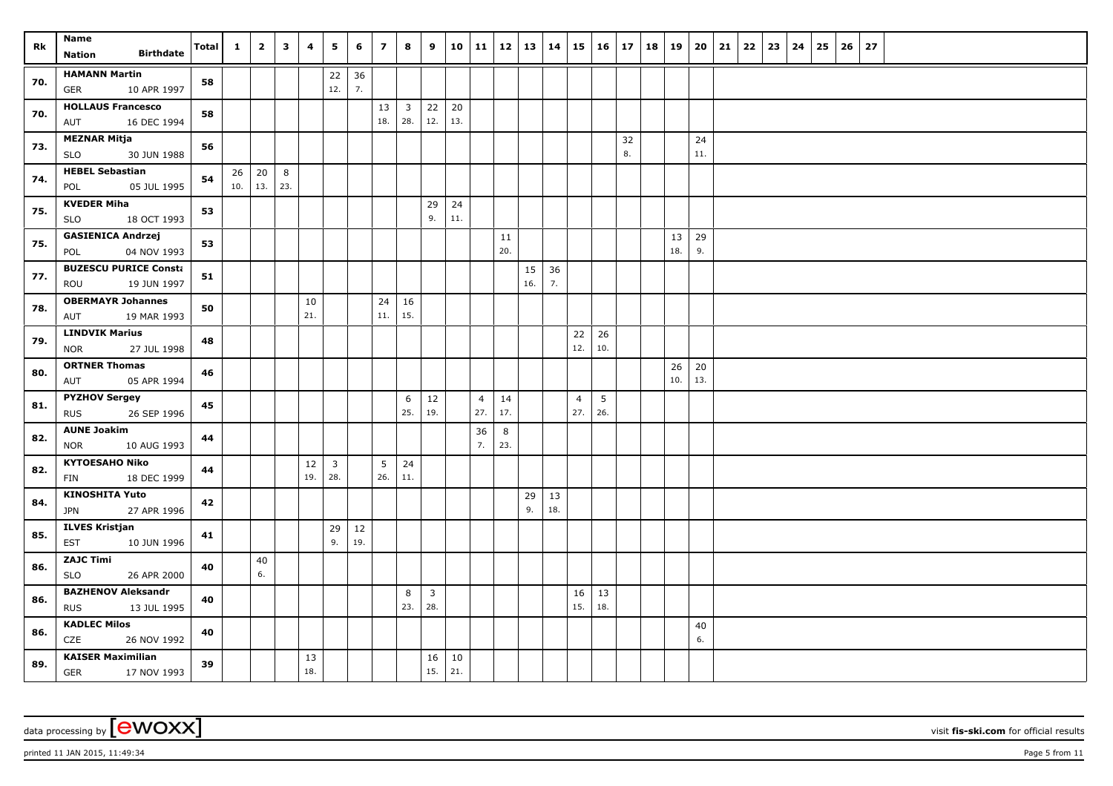| Rk  | Name<br><b>Birthdate</b>                           | <b>Total</b> | $\mathbf{1}$ | $\overline{2}$ | $\overline{\mathbf{3}}$ | 4         | 5                              | 6        | $\overline{7}$ | 8                     | 9              |           | 10 11          | $12$   13   14 |           |           | $15 \vert$     | $16 \mid 17$ |    | 18   19   | 20       | 21 | 22 | 23 | 24 | 25 | 26 | 27 |  |  |  |  |
|-----|----------------------------------------------------|--------------|--------------|----------------|-------------------------|-----------|--------------------------------|----------|----------------|-----------------------|----------------|-----------|----------------|----------------|-----------|-----------|----------------|--------------|----|-----------|----------|----|----|----|----|----|----|----|--|--|--|--|
|     | Nation                                             |              |              |                |                         |           |                                |          |                |                       |                |           |                |                |           |           |                |              |    |           |          |    |    |    |    |    |    |    |  |  |  |  |
| 70. | <b>HAMANN Martin</b><br>10 APR 1997                | 58           |              |                |                         |           | 22<br>12.                      | 36<br>7. |                |                       |                |           |                |                |           |           |                |              |    |           |          |    |    |    |    |    |    |    |  |  |  |  |
|     | GER<br><b>HOLLAUS Francesco</b>                    |              |              |                |                         |           |                                |          |                |                       |                |           |                |                |           |           |                |              |    |           |          |    |    |    |    |    |    |    |  |  |  |  |
| 70. | AUT<br>16 DEC 1994                                 | 58           |              |                |                         |           |                                |          | $13\,$<br>18.  | $\overline{3}$<br>28. | 22<br>12.      | 20<br>13. |                |                |           |           |                |              |    |           |          |    |    |    |    |    |    |    |  |  |  |  |
|     | <b>MEZNAR Mitja</b>                                |              |              |                |                         |           |                                |          |                |                       |                |           |                |                |           |           |                |              | 32 |           | 24       |    |    |    |    |    |    |    |  |  |  |  |
| 73. | 30 JUN 1988<br><b>SLO</b>                          | 56           |              |                |                         |           |                                |          |                |                       |                |           |                |                |           |           |                |              | 8. |           | 11.      |    |    |    |    |    |    |    |  |  |  |  |
| 74. | <b>HEBEL Sebastian</b>                             | 54           | 26           | 20             | 8                       |           |                                |          |                |                       |                |           |                |                |           |           |                |              |    |           |          |    |    |    |    |    |    |    |  |  |  |  |
|     | POL<br>05 JUL 1995                                 |              | 10.          | 13.            | 23.                     |           |                                |          |                |                       |                |           |                |                |           |           |                |              |    |           |          |    |    |    |    |    |    |    |  |  |  |  |
| 75. | <b>KVEDER Miha</b>                                 | 53           |              |                |                         |           |                                |          |                |                       | 29             | 24        |                |                |           |           |                |              |    |           |          |    |    |    |    |    |    |    |  |  |  |  |
|     | 18 OCT 1993<br><b>SLO</b>                          |              |              |                |                         |           |                                |          |                |                       | 9.             | 11.       |                |                |           |           |                |              |    |           |          |    |    |    |    |    |    |    |  |  |  |  |
| 75. | <b>GASIENICA Andrzej</b>                           | 53           |              |                |                         |           |                                |          |                |                       |                |           |                | 11<br>20.      |           |           |                |              |    | 13<br>18. | 29<br>9. |    |    |    |    |    |    |    |  |  |  |  |
|     | 04 NOV 1993<br>POL                                 |              |              |                |                         |           |                                |          |                |                       |                |           |                |                |           |           |                |              |    |           |          |    |    |    |    |    |    |    |  |  |  |  |
| 77. | <b>BUZESCU PURICE Consta</b><br>ROU<br>19 JUN 1997 | 51           |              |                |                         |           |                                |          |                |                       |                |           |                |                | 15<br>16. | 36<br>7.  |                |              |    |           |          |    |    |    |    |    |    |    |  |  |  |  |
|     | <b>OBERMAYR Johannes</b>                           |              |              |                |                         |           |                                |          |                |                       |                |           |                |                |           |           |                |              |    |           |          |    |    |    |    |    |    |    |  |  |  |  |
| 78. | 19 MAR 1993<br>AUT                                 | 50           |              |                |                         | 10<br>21. |                                |          | 24<br>11.      | 16<br>15.             |                |           |                |                |           |           |                |              |    |           |          |    |    |    |    |    |    |    |  |  |  |  |
|     | <b>LINDVIK Marius</b>                              |              |              |                |                         |           |                                |          |                |                       |                |           |                |                |           |           | 22             | 26           |    |           |          |    |    |    |    |    |    |    |  |  |  |  |
| 79. | <b>NOR</b><br>27 JUL 1998                          | 48           |              |                |                         |           |                                |          |                |                       |                |           |                |                |           |           | 12.            | 10.          |    |           |          |    |    |    |    |    |    |    |  |  |  |  |
| 80. | <b>ORTNER Thomas</b>                               | 46           |              |                |                         |           |                                |          |                |                       |                |           |                |                |           |           |                |              |    | 26        | 20       |    |    |    |    |    |    |    |  |  |  |  |
|     | 05 APR 1994<br>AUT                                 |              |              |                |                         |           |                                |          |                |                       |                |           |                |                |           |           |                |              |    | 10.       | 13.      |    |    |    |    |    |    |    |  |  |  |  |
| 81. | <b>PYZHOV Sergey</b>                               | 45           |              |                |                         |           |                                |          |                | 6                     | 12             |           | $\overline{4}$ | 14             |           |           | $\overline{4}$ | 5            |    |           |          |    |    |    |    |    |    |    |  |  |  |  |
|     | 26 SEP 1996<br><b>RUS</b>                          |              |              |                |                         |           |                                |          |                | 25.                   | 19.            |           | 27.            | 17.            |           |           | 27.            | 26.          |    |           |          |    |    |    |    |    |    |    |  |  |  |  |
| 82. | <b>AUNE Joakim</b>                                 | 44           |              |                |                         |           |                                |          |                |                       |                |           | 36             | 8              |           |           |                |              |    |           |          |    |    |    |    |    |    |    |  |  |  |  |
|     | 10 AUG 1993<br><b>NOR</b>                          |              |              |                |                         |           |                                |          |                |                       |                |           | 7.             | 23.            |           |           |                |              |    |           |          |    |    |    |    |    |    |    |  |  |  |  |
| 82. | <b>KYTOESAHO Niko</b>                              | 44           |              |                |                         | 12<br>19. | $\overline{\mathbf{3}}$<br>28. |          | 5<br>26.       | 24<br>11.             |                |           |                |                |           |           |                |              |    |           |          |    |    |    |    |    |    |    |  |  |  |  |
|     | 18 DEC 1999<br>FIN                                 |              |              |                |                         |           |                                |          |                |                       |                |           |                |                |           |           |                |              |    |           |          |    |    |    |    |    |    |    |  |  |  |  |
| 84. | <b>KINOSHITA Yuto</b><br>27 APR 1996<br><b>JPN</b> | 42           |              |                |                         |           |                                |          |                |                       |                |           |                |                | 29<br>9.  | 13<br>18. |                |              |    |           |          |    |    |    |    |    |    |    |  |  |  |  |
|     | <b>ILVES Kristjan</b>                              |              |              |                |                         |           | 29                             | 12       |                |                       |                |           |                |                |           |           |                |              |    |           |          |    |    |    |    |    |    |    |  |  |  |  |
| 85. | 10 JUN 1996<br><b>EST</b>                          | 41           |              |                |                         |           | 9.                             | 19.      |                |                       |                |           |                |                |           |           |                |              |    |           |          |    |    |    |    |    |    |    |  |  |  |  |
|     | <b>ZAJC Timi</b>                                   |              |              | 40             |                         |           |                                |          |                |                       |                |           |                |                |           |           |                |              |    |           |          |    |    |    |    |    |    |    |  |  |  |  |
| 86. | <b>SLO</b><br>26 APR 2000                          | 40           |              | 6.             |                         |           |                                |          |                |                       |                |           |                |                |           |           |                |              |    |           |          |    |    |    |    |    |    |    |  |  |  |  |
|     | <b>BAZHENOV Aleksandr</b>                          |              |              |                |                         |           |                                |          |                | 8                     | $\overline{3}$ |           |                |                |           |           | 16             | 13           |    |           |          |    |    |    |    |    |    |    |  |  |  |  |
| 86. | <b>RUS</b><br>13 JUL 1995                          | 40           |              |                |                         |           |                                |          |                | 23.                   | 28.            |           |                |                |           |           | 15.            | 18.          |    |           |          |    |    |    |    |    |    |    |  |  |  |  |
| 86. | <b>KADLEC Milos</b>                                | 40           |              |                |                         |           |                                |          |                |                       |                |           |                |                |           |           |                |              |    |           | 40       |    |    |    |    |    |    |    |  |  |  |  |
|     | CZE<br>26 NOV 1992                                 |              |              |                |                         |           |                                |          |                |                       |                |           |                |                |           |           |                |              |    |           | 6.       |    |    |    |    |    |    |    |  |  |  |  |
| 89. | <b>KAISER Maximilian</b>                           | 39           |              |                |                         | 13        |                                |          |                |                       | 16             | 10        |                |                |           |           |                |              |    |           |          |    |    |    |    |    |    |    |  |  |  |  |
|     | <b>GER</b><br>17 NOV 1993                          |              |              |                |                         | 18.       |                                |          |                |                       | 15.            | 21.       |                |                |           |           |                |              |    |           |          |    |    |    |    |    |    |    |  |  |  |  |

printed 11 JAN 2015, 11:49:34 Page 5 from 11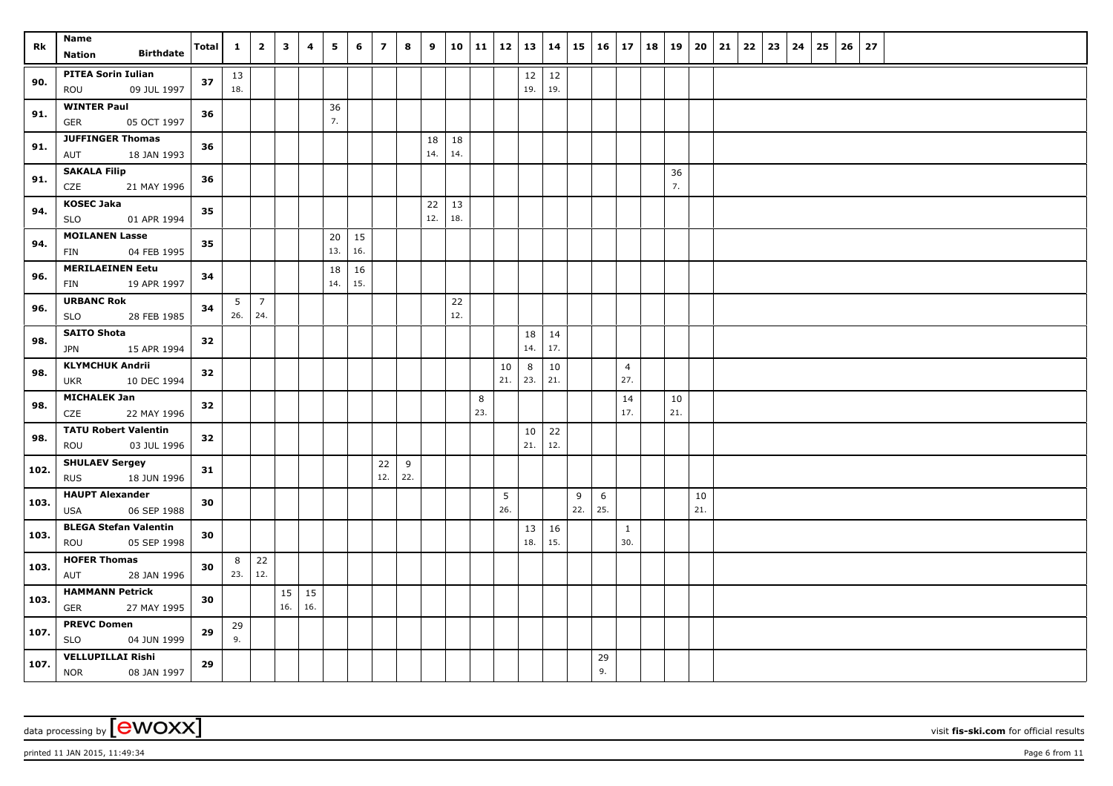| Rk   | Name                                               |       | $\mathbf{1}$   | $\overline{2}$ | $\overline{\mathbf{3}}$ | $\overline{4}$ | 5   | 6   | $\overline{7}$ | 8        | 9         |           | 10   11 | 12   13   14 |           |           | 15  |     | 16   17   18   19 |          | 20 21 | 22 | 23 | $24 \mid 25$ | 26 | 27 |  |  |  |
|------|----------------------------------------------------|-------|----------------|----------------|-------------------------|----------------|-----|-----|----------------|----------|-----------|-----------|---------|--------------|-----------|-----------|-----|-----|-------------------|----------|-------|----|----|--------------|----|----|--|--|--|
|      | <b>Birthdate</b><br><b>Nation</b>                  | Total |                |                |                         |                |     |     |                |          |           |           |         |              |           |           |     |     |                   |          |       |    |    |              |    |    |  |  |  |
| 90.  | <b>PITEA Sorin Iulian</b>                          | 37    | 13             |                |                         |                |     |     |                |          |           |           |         |              | $12\,$    | $12\,$    |     |     |                   |          |       |    |    |              |    |    |  |  |  |
|      | 09 JUL 1997<br>ROU                                 |       | 18.            |                |                         |                |     |     |                |          |           |           |         |              | 19.       | 19.       |     |     |                   |          |       |    |    |              |    |    |  |  |  |
| 91.  | <b>WINTER Paul</b>                                 | 36    |                |                |                         |                | 36  |     |                |          |           |           |         |              |           |           |     |     |                   |          |       |    |    |              |    |    |  |  |  |
|      | GER<br>05 OCT 1997                                 |       |                |                |                         |                | 7.  |     |                |          |           |           |         |              |           |           |     |     |                   |          |       |    |    |              |    |    |  |  |  |
| 91.  | <b>JUFFINGER Thomas</b>                            | 36    |                |                |                         |                |     |     |                |          | 18        | 18        |         |              |           |           |     |     |                   |          |       |    |    |              |    |    |  |  |  |
|      | 18 JAN 1993<br>AUT                                 |       |                |                |                         |                |     |     |                |          | 14.       | 14.       |         |              |           |           |     |     |                   |          |       |    |    |              |    |    |  |  |  |
| 91.  | <b>SAKALA Filip</b><br>21 MAY 1996<br>CZE          | 36    |                |                |                         |                |     |     |                |          |           |           |         |              |           |           |     |     |                   | 36<br>7. |       |    |    |              |    |    |  |  |  |
|      | <b>KOSEC Jaka</b>                                  |       |                |                |                         |                |     |     |                |          |           |           |         |              |           |           |     |     |                   |          |       |    |    |              |    |    |  |  |  |
| 94.  | SLO<br>01 APR 1994                                 | 35    |                |                |                         |                |     |     |                |          | 22<br>12. | 13<br>18. |         |              |           |           |     |     |                   |          |       |    |    |              |    |    |  |  |  |
|      | <b>MOILANEN Lasse</b>                              |       |                |                |                         |                | 20  | 15  |                |          |           |           |         |              |           |           |     |     |                   |          |       |    |    |              |    |    |  |  |  |
| 94.  | 04 FEB 1995<br>FIN                                 | 35    |                |                |                         |                | 13. | 16. |                |          |           |           |         |              |           |           |     |     |                   |          |       |    |    |              |    |    |  |  |  |
|      | <b>MERILAEINEN Eetu</b>                            |       |                |                |                         |                | 18  | 16  |                |          |           |           |         |              |           |           |     |     |                   |          |       |    |    |              |    |    |  |  |  |
| 96.  | 19 APR 1997<br>FIN                                 | 34    |                |                |                         |                | 14. | 15. |                |          |           |           |         |              |           |           |     |     |                   |          |       |    |    |              |    |    |  |  |  |
|      | <b>URBANC Rok</b>                                  |       | 5 <sup>7</sup> | $\overline{7}$ |                         |                |     |     |                |          |           | 22        |         |              |           |           |     |     |                   |          |       |    |    |              |    |    |  |  |  |
| 96.  | 28 FEB 1985<br>SLO                                 | 34    | 26.            | 24.            |                         |                |     |     |                |          |           | 12.       |         |              |           |           |     |     |                   |          |       |    |    |              |    |    |  |  |  |
| 98.  | <b>SAITO Shota</b>                                 | 32    |                |                |                         |                |     |     |                |          |           |           |         |              | 18        | 14        |     |     |                   |          |       |    |    |              |    |    |  |  |  |
|      | <b>JPN</b><br>15 APR 1994                          |       |                |                |                         |                |     |     |                |          |           |           |         |              | 14.       | 17.       |     |     |                   |          |       |    |    |              |    |    |  |  |  |
| 98.  | <b>KLYMCHUK Andrii</b>                             | 32    |                |                |                         |                |     |     |                |          |           |           |         | 10           | 8         | 10        |     |     | $\overline{4}$    |          |       |    |    |              |    |    |  |  |  |
|      | <b>UKR</b><br>10 DEC 1994                          |       |                |                |                         |                |     |     |                |          |           |           |         | 21.          | 23.       | 21.       |     |     | 27.               |          |       |    |    |              |    |    |  |  |  |
| 98.  | <b>MICHALEK Jan</b>                                | 32    |                |                |                         |                |     |     |                |          |           |           | 8       |              |           |           |     |     | 14                | 10       |       |    |    |              |    |    |  |  |  |
|      | CZE<br>22 MAY 1996                                 |       |                |                |                         |                |     |     |                |          |           |           | 23.     |              |           |           |     |     | 17.               | 21.      |       |    |    |              |    |    |  |  |  |
| 98.  | <b>TATU Robert Valentin</b>                        | 32    |                |                |                         |                |     |     |                |          |           |           |         |              | 10<br>21. | 22<br>12. |     |     |                   |          |       |    |    |              |    |    |  |  |  |
|      | 03 JUL 1996<br>ROU                                 |       |                |                |                         |                |     |     |                |          |           |           |         |              |           |           |     |     |                   |          |       |    |    |              |    |    |  |  |  |
| 102. | <b>SHULAEV Sergey</b><br>18 JUN 1996<br><b>RUS</b> | 31    |                |                |                         |                |     |     | 22<br>12.      | 9<br>22. |           |           |         |              |           |           |     |     |                   |          |       |    |    |              |    |    |  |  |  |
|      | <b>HAUPT Alexander</b>                             |       |                |                |                         |                |     |     |                |          |           |           |         | 5            |           |           | 9   | 6   |                   |          | 10    |    |    |              |    |    |  |  |  |
| 103. | 06 SEP 1988<br>USA                                 | 30    |                |                |                         |                |     |     |                |          |           |           |         | 26.          |           |           | 22. | 25. |                   |          | 21.   |    |    |              |    |    |  |  |  |
|      | <b>BLEGA Stefan Valentin</b>                       |       |                |                |                         |                |     |     |                |          |           |           |         |              | 13        | 16        |     |     | $\mathbf{1}$      |          |       |    |    |              |    |    |  |  |  |
| 103. | 05 SEP 1998<br>ROU                                 | 30    |                |                |                         |                |     |     |                |          |           |           |         |              | 18.       | 15.       |     |     | 30.               |          |       |    |    |              |    |    |  |  |  |
|      | <b>HOFER Thomas</b>                                |       | 8              | 22             |                         |                |     |     |                |          |           |           |         |              |           |           |     |     |                   |          |       |    |    |              |    |    |  |  |  |
| 103. | AUT<br>28 JAN 1996                                 | 30    | 23.            | 12.            |                         |                |     |     |                |          |           |           |         |              |           |           |     |     |                   |          |       |    |    |              |    |    |  |  |  |
| 103. | <b>HAMMANN Petrick</b>                             | 30    |                |                | 15                      | 15             |     |     |                |          |           |           |         |              |           |           |     |     |                   |          |       |    |    |              |    |    |  |  |  |
|      | <b>GER</b><br>27 MAY 1995                          |       |                |                | 16.                     | 16.            |     |     |                |          |           |           |         |              |           |           |     |     |                   |          |       |    |    |              |    |    |  |  |  |
| 107. | <b>PREVC Domen</b>                                 | 29    | 29             |                |                         |                |     |     |                |          |           |           |         |              |           |           |     |     |                   |          |       |    |    |              |    |    |  |  |  |
|      | <b>SLO</b><br>04 JUN 1999                          |       | 9.             |                |                         |                |     |     |                |          |           |           |         |              |           |           |     |     |                   |          |       |    |    |              |    |    |  |  |  |
| 107. | <b>VELLUPILLAI Rishi</b>                           | 29    |                |                |                         |                |     |     |                |          |           |           |         |              |           |           |     | 29  |                   |          |       |    |    |              |    |    |  |  |  |
|      | <b>NOR</b><br>08 JAN 1997                          |       |                |                |                         |                |     |     |                |          |           |           |         |              |           |           |     | 9.  |                   |          |       |    |    |              |    |    |  |  |  |

printed 11 JAN 2015, 11:49:34 Page 6 from 11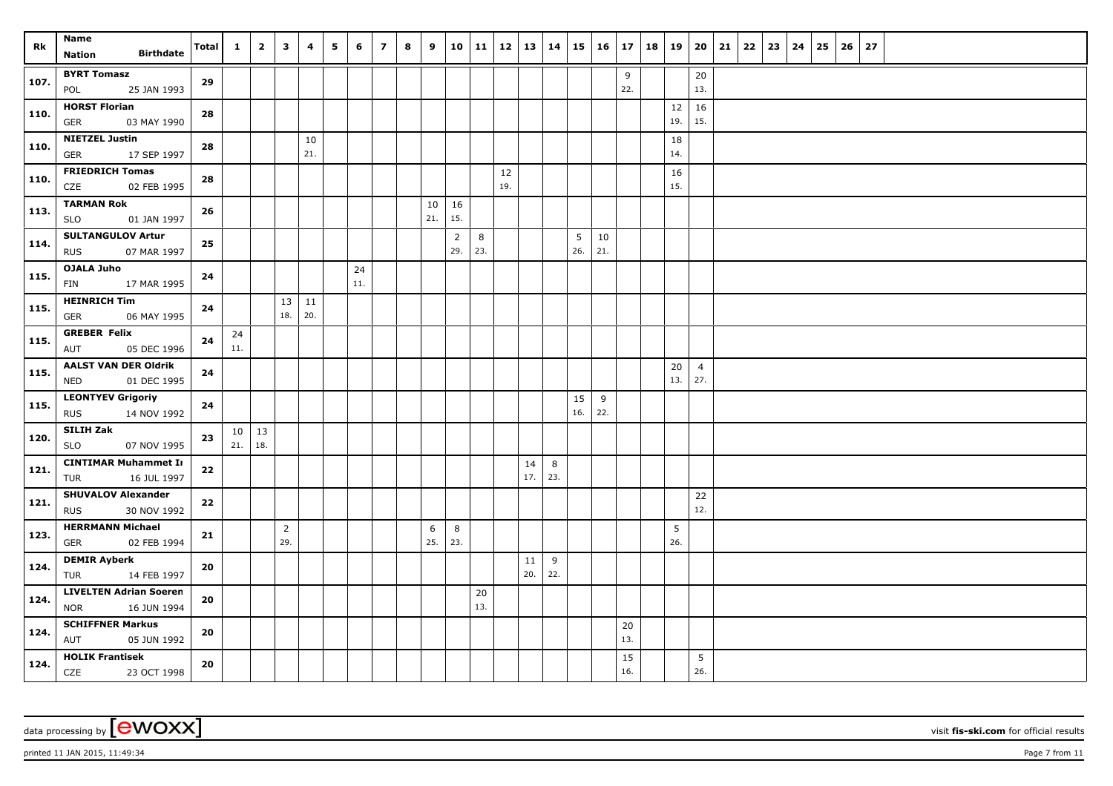| Rk   | <b>Name</b><br><b>Birthdate</b><br><b>Nation</b>           | <b>Total</b> | 1         | $\overline{2}$      | $\mathbf{3}$          | 4                       | 5 | 6         | $\overline{z}$ | 8 | 9         |                       | 10 11         | 12        | 13        | 14       | 15   16   |           | $17 \mid 18$  | 19        | 20                    | 21 | 22 | 23 | 24 | 25 | $26 \mid 27$ |  |  |  |  |
|------|------------------------------------------------------------|--------------|-----------|---------------------|-----------------------|-------------------------|---|-----------|----------------|---|-----------|-----------------------|---------------|-----------|-----------|----------|-----------|-----------|---------------|-----------|-----------------------|----|----|----|----|----|--------------|--|--|--|--|
| 107. | <b>BYRT Tomasz</b><br>25 JAN 1993<br>POL                   | 29           |           |                     |                       |                         |   |           |                |   |           |                       |               |           |           |          |           |           | 9<br>22.      |           | 20<br>13.             |    |    |    |    |    |              |  |  |  |  |
| 110. | <b>HORST Florian</b><br><b>GER</b><br>03 MAY 1990          | 28           |           |                     |                       |                         |   |           |                |   |           |                       |               |           |           |          |           |           |               | 12<br>19. | 16<br>15.             |    |    |    |    |    |              |  |  |  |  |
| 110. | <b>NIETZEL Justin</b><br>17 SEP 1997<br>GER                | 28           |           |                     |                       | 10<br>21.               |   |           |                |   |           |                       |               |           |           |          |           |           |               | 18<br>14. |                       |    |    |    |    |    |              |  |  |  |  |
| 110. | <b>FRIEDRICH Tomas</b><br>CZE<br>02 FEB 1995               | 28           |           |                     |                       |                         |   |           |                |   |           |                       |               | 12<br>19. |           |          |           |           |               | 16<br>15. |                       |    |    |    |    |    |              |  |  |  |  |
| 113. | <b>TARMAN Rok</b><br><b>SLO</b><br>01 JAN 1997             | 26           |           |                     |                       |                         |   |           |                |   | 10<br>21. | 16<br>15.             |               |           |           |          |           |           |               |           |                       |    |    |    |    |    |              |  |  |  |  |
| 114. | <b>SULTANGULOV Artur</b><br>07 MAR 1997<br><b>RUS</b>      | 25           |           |                     |                       |                         |   |           |                |   |           | $\overline{2}$<br>29. | 8<br>23.      |           |           |          | 5<br>26.  | 10<br>21. |               |           |                       |    |    |    |    |    |              |  |  |  |  |
| 115. | OJALA Juho<br>17 MAR 1995<br>FIN                           | 24           |           |                     |                       |                         |   | 24<br>11. |                |   |           |                       |               |           |           |          |           |           |               |           |                       |    |    |    |    |    |              |  |  |  |  |
| 115. | <b>HEINRICH Tim</b><br>06 MAY 1995<br>GER                  | 24           |           |                     |                       | $13 \mid 11$<br>18. 20. |   |           |                |   |           |                       |               |           |           |          |           |           |               |           |                       |    |    |    |    |    |              |  |  |  |  |
| 115. | <b>GREBER Felix</b><br>AUT<br>05 DEC 1996                  | 24           | 24<br>11. |                     |                       |                         |   |           |                |   |           |                       |               |           |           |          |           |           |               |           |                       |    |    |    |    |    |              |  |  |  |  |
| 115. | <b>AALST VAN DER Oldrik</b><br><b>NED</b><br>01 DEC 1995   | 24           |           |                     |                       |                         |   |           |                |   |           |                       |               |           |           |          |           |           |               | 20<br>13. | $\overline{4}$<br>27. |    |    |    |    |    |              |  |  |  |  |
| 115. | <b>LEONTYEV Grigoriy</b><br><b>RUS</b><br>14 NOV 1992      | 24           |           |                     |                       |                         |   |           |                |   |           |                       |               |           |           |          | 15<br>16. | 9<br>22.  |               |           |                       |    |    |    |    |    |              |  |  |  |  |
| 120. | SILIH Zak<br><b>SLO</b><br>07 NOV 1995                     | 23           | 21.       | $10 \mid 13$<br>18. |                       |                         |   |           |                |   |           |                       |               |           |           |          |           |           |               |           |                       |    |    |    |    |    |              |  |  |  |  |
| 121. | <b>CINTIMAR Muhammet In</b><br>TUR<br>16 JUL 1997          | $\bf 22$     |           |                     |                       |                         |   |           |                |   |           |                       |               |           | 14<br>17. | 8<br>23. |           |           |               |           |                       |    |    |    |    |    |              |  |  |  |  |
| 121. | <b>SHUVALOV Alexander</b><br>30 NOV 1992<br><b>RUS</b>     | 22           |           |                     |                       |                         |   |           |                |   |           |                       |               |           |           |          |           |           |               |           | 22<br>12.             |    |    |    |    |    |              |  |  |  |  |
| 123. | <b>HERRMANN Michael</b><br>02 FEB 1994<br>GER              | 21           |           |                     | $\overline{2}$<br>29. |                         |   |           |                |   | 6<br>25.  | 8<br>23.              |               |           |           |          |           |           |               | 5<br>26.  |                       |    |    |    |    |    |              |  |  |  |  |
| 124. | <b>DEMIR Ayberk</b><br>TUR<br>14 FEB 1997                  | 20           |           |                     |                       |                         |   |           |                |   |           |                       |               |           | 11<br>20. | 9<br>22. |           |           |               |           |                       |    |    |    |    |    |              |  |  |  |  |
| 124. | <b>LIVELTEN Adrian Soeren</b><br><b>NOR</b><br>16 JUN 1994 | 20           |           |                     |                       |                         |   |           |                |   |           |                       | $20\,$<br>13. |           |           |          |           |           |               |           |                       |    |    |    |    |    |              |  |  |  |  |
| 124. | <b>SCHIFFNER Markus</b><br>AUT<br>05 JUN 1992              | 20           |           |                     |                       |                         |   |           |                |   |           |                       |               |           |           |          |           |           | $20\,$<br>13. |           |                       |    |    |    |    |    |              |  |  |  |  |
| 124. | <b>HOLIK Frantisek</b><br><b>CZE</b><br>23 OCT 1998        | 20           |           |                     |                       |                         |   |           |                |   |           |                       |               |           |           |          |           |           | 15<br>16.     |           | 5<br>26.              |    |    |    |    |    |              |  |  |  |  |

data processing by **CWOXX** visit fis-ski.com for official results

printed 11 JAN 2015, 11:49:34 Page 7 from 11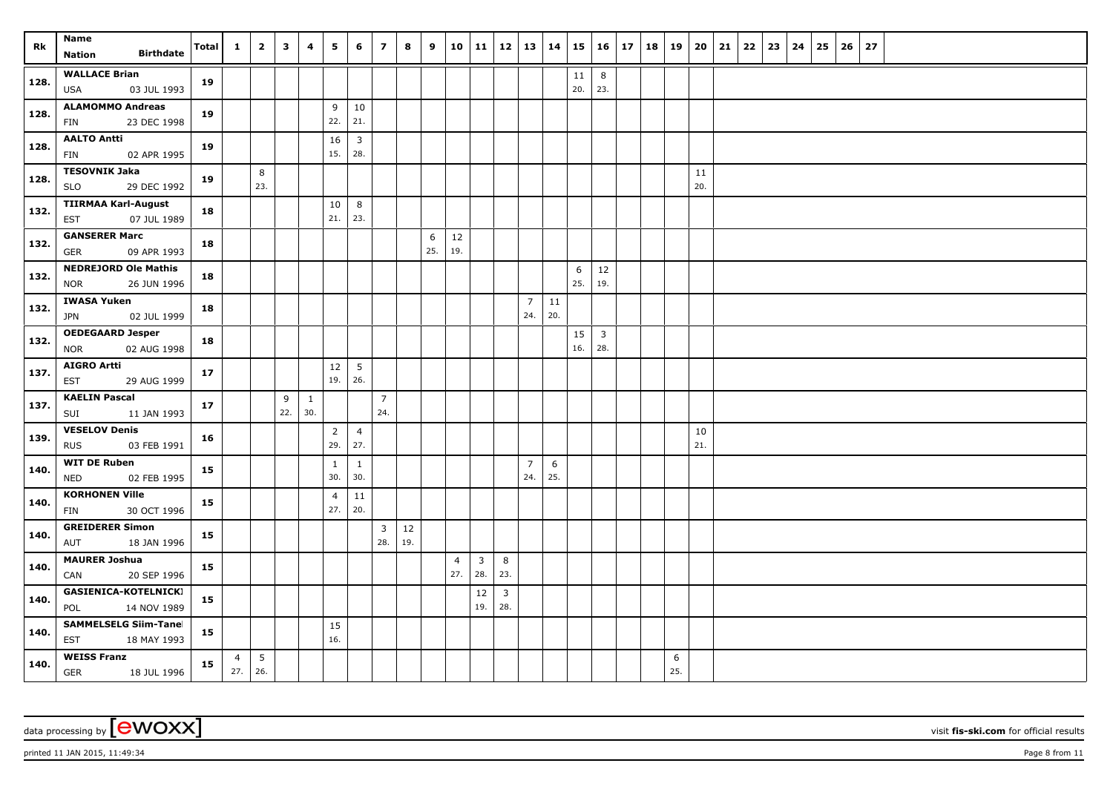| Rk   | Name<br><b>Birthdate</b><br><b>Nation</b>                 | <b>Total</b> | $\mathbf{1}$          | $\overline{2}$         | $\mathbf{3}$ | 4        | 5                     | 6                      | $\overline{7}$        | 8         | 9        |                       | 10 11                 |                     |                       | $12 \mid 13 \mid 14$ | 15        | $16 \mid 17$          | 18   19 |          | 20        | 21 | $22 \mid 23$ | 24 | 25 | 26 | 27 |  |  |  |
|------|-----------------------------------------------------------|--------------|-----------------------|------------------------|--------------|----------|-----------------------|------------------------|-----------------------|-----------|----------|-----------------------|-----------------------|---------------------|-----------------------|----------------------|-----------|-----------------------|---------|----------|-----------|----|--------------|----|----|----|----|--|--|--|
| 128. | <b>WALLACE Brian</b><br>USA<br>03 JUL 1993                | 19           |                       |                        |              |          |                       |                        |                       |           |          |                       |                       |                     |                       |                      | 11<br>20. | 8<br>23.              |         |          |           |    |              |    |    |    |    |  |  |  |
| 128. | <b>ALAMOMMO Andreas</b><br>23 DEC 1998<br>FIN             | 19           |                       |                        |              |          | 9<br>22.              | 10<br>21.              |                       |           |          |                       |                       |                     |                       |                      |           |                       |         |          |           |    |              |    |    |    |    |  |  |  |
| 128. | <b>AALTO Antti</b><br>02 APR 1995<br><b>FIN</b>           | 19           |                       |                        |              |          | 16<br>15.             | $\overline{3}$<br>28.  |                       |           |          |                       |                       |                     |                       |                      |           |                       |         |          |           |    |              |    |    |    |    |  |  |  |
| 128. | <b>TESOVNIK Jaka</b><br>29 DEC 1992<br>SLO                | 19           |                       | 8<br>23.               |              |          |                       |                        |                       |           |          |                       |                       |                     |                       |                      |           |                       |         |          | 11<br>20. |    |              |    |    |    |    |  |  |  |
| 132. | <b>TIIRMAA Karl-August</b><br>07 JUL 1989<br><b>EST</b>   | 18           |                       |                        |              |          | 10<br>21.             | 8<br>23.               |                       |           |          |                       |                       |                     |                       |                      |           |                       |         |          |           |    |              |    |    |    |    |  |  |  |
| 132. | <b>GANSERER Marc</b><br>09 APR 1993<br><b>GER</b>         | 18           |                       |                        |              |          |                       |                        |                       |           | 6<br>25. | 12<br>19.             |                       |                     |                       |                      |           |                       |         |          |           |    |              |    |    |    |    |  |  |  |
| 132. | <b>NEDREJORD Ole Mathis</b><br>26 JUN 1996<br><b>NOR</b>  | 18           |                       |                        |              |          |                       |                        |                       |           |          |                       |                       |                     |                       |                      | 6<br>25.  | 12<br>19.             |         |          |           |    |              |    |    |    |    |  |  |  |
| 132. | <b>IWASA Yuken</b><br>02 JUL 1999<br><b>JPN</b>           | 18           |                       |                        |              |          |                       |                        |                       |           |          |                       |                       |                     | $\overline{7}$<br>24. | $11\,$<br>20.        |           |                       |         |          |           |    |              |    |    |    |    |  |  |  |
| 132. | <b>OEDEGAARD Jesper</b><br>02 AUG 1998<br><b>NOR</b>      | 18           |                       |                        |              |          |                       |                        |                       |           |          |                       |                       |                     |                       |                      | 15<br>16. | $\overline{3}$<br>28. |         |          |           |    |              |    |    |    |    |  |  |  |
| 137. | <b>AIGRO Artti</b><br><b>EST</b><br>29 AUG 1999           | 17           |                       |                        |              |          | 12<br>19.             | $5\overline{5}$<br>26. |                       |           |          |                       |                       |                     |                       |                      |           |                       |         |          |           |    |              |    |    |    |    |  |  |  |
| 137. | <b>KAELIN Pascal</b><br>SUI<br>11 JAN 1993                | 17           |                       |                        | 9<br>22.     | 1<br>30. |                       |                        | $\overline{7}$<br>24. |           |          |                       |                       |                     |                       |                      |           |                       |         |          |           |    |              |    |    |    |    |  |  |  |
| 139. | <b>VESELOV Denis</b><br><b>RUS</b><br>03 FEB 1991         | 16           |                       |                        |              |          | $\overline{2}$<br>29. | $\overline{4}$<br>27.  |                       |           |          |                       |                       |                     |                       |                      |           |                       |         |          | 10<br>21. |    |              |    |    |    |    |  |  |  |
| 140. | <b>WIT DE Ruben</b><br><b>NED</b><br>02 FEB 1995          | 15           |                       |                        |              |          | 1<br>30.              | 1<br>30.               |                       |           |          |                       |                       |                     | $\overline{7}$<br>24. | 6<br>25.             |           |                       |         |          |           |    |              |    |    |    |    |  |  |  |
| 140. | <b>KORHONEN Ville</b><br>30 OCT 1996<br><b>FIN</b>        | 15           |                       |                        |              |          | $\overline{4}$<br>27. | 11<br>20.              |                       |           |          |                       |                       |                     |                       |                      |           |                       |         |          |           |    |              |    |    |    |    |  |  |  |
| 140. | <b>GREIDERER Simon</b><br>18 JAN 1996<br>AUT              | 15           |                       |                        |              |          |                       |                        | $\overline{3}$<br>28. | 12<br>19. |          |                       |                       |                     |                       |                      |           |                       |         |          |           |    |              |    |    |    |    |  |  |  |
| 140. | <b>MAURER Joshua</b><br>20 SEP 1996<br>CAN                | 15           |                       |                        |              |          |                       |                        |                       |           |          | $\overline{4}$<br>27. | $\overline{3}$<br>28. | 8<br>23.            |                       |                      |           |                       |         |          |           |    |              |    |    |    |    |  |  |  |
| 140. | <b>GASIENICA-KOTELNICKI</b><br>POL<br>14 NOV 1989         | 15           |                       |                        |              |          |                       |                        |                       |           |          |                       | 12<br>19.             | $\mathbf{3}$<br>28. |                       |                      |           |                       |         |          |           |    |              |    |    |    |    |  |  |  |
| 140. | <b>SAMMELSELG Siim-Tanel</b><br><b>EST</b><br>18 MAY 1993 | 15           |                       |                        |              |          | 15<br>16.             |                        |                       |           |          |                       |                       |                     |                       |                      |           |                       |         |          |           |    |              |    |    |    |    |  |  |  |
| 140. | <b>WEISS Franz</b><br><b>GER</b><br>18 JUL 1996           | 15           | $\overline{4}$<br>27. | $5\phantom{.0}$<br>26. |              |          |                       |                        |                       |           |          |                       |                       |                     |                       |                      |           |                       |         | 6<br>25. |           |    |              |    |    |    |    |  |  |  |

## data processing by **CWOXX** visit fis-ski.com for official results

printed 11 JAN 2015, 11:49:34 Page 8 from 11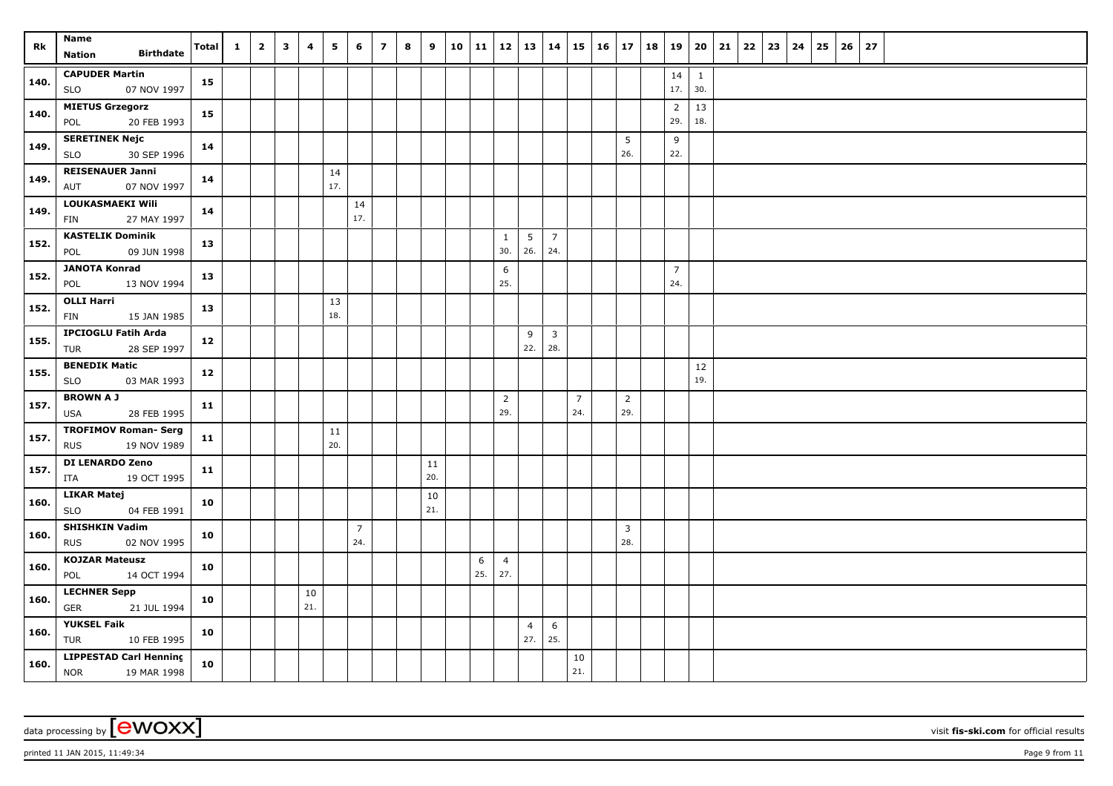| Rk   | Name                                                     | <b>Total</b> | $\mathbf{1}$ | $\overline{2}$ | $\overline{\mathbf{3}}$ | 4         | 5         | 6                     | $\overline{7}$ | 8 | 9         | 10 11    | 12   13   14          |                       |                       |                       | $15 \mid 16 \mid 17 \mid 18 \mid 19 \mid 20 \mid 21$ |                       |                       |                       | 22   23 | 24 | 25 | 26 | 27 |  |  |  |
|------|----------------------------------------------------------|--------------|--------------|----------------|-------------------------|-----------|-----------|-----------------------|----------------|---|-----------|----------|-----------------------|-----------------------|-----------------------|-----------------------|------------------------------------------------------|-----------------------|-----------------------|-----------------------|---------|----|----|----|----|--|--|--|
|      | <b>Birthdate</b><br>Nation                               |              |              |                |                         |           |           |                       |                |   |           |          |                       |                       |                       |                       |                                                      |                       |                       |                       |         |    |    |    |    |  |  |  |
| 140. | <b>CAPUDER Martin</b><br><b>SLO</b><br>07 NOV 1997       | 15           |              |                |                         |           |           |                       |                |   |           |          |                       |                       |                       |                       |                                                      |                       | 14<br>17.             | $\overline{1}$<br>30. |         |    |    |    |    |  |  |  |
| 140. | <b>MIETUS Grzegorz</b><br>POL<br>20 FEB 1993             | 15           |              |                |                         |           |           |                       |                |   |           |          |                       |                       |                       |                       |                                                      |                       | $\overline{2}$<br>29. | 13<br>18.             |         |    |    |    |    |  |  |  |
| 149. | <b>SERETINEK Nejc</b><br>30 SEP 1996<br><b>SLO</b>       | 14           |              |                |                         |           |           |                       |                |   |           |          |                       |                       |                       |                       |                                                      | 5<br>26.              | 9<br>22.              |                       |         |    |    |    |    |  |  |  |
| 149. | <b>REISENAUER Janni</b><br>07 NOV 1997<br>AUT            | 14           |              |                |                         |           | 14<br>17. |                       |                |   |           |          |                       |                       |                       |                       |                                                      |                       |                       |                       |         |    |    |    |    |  |  |  |
| 149. | LOUKASMAEKI Wili<br>FIN<br>27 MAY 1997                   | 14           |              |                |                         |           |           | 14<br>17.             |                |   |           |          |                       |                       |                       |                       |                                                      |                       |                       |                       |         |    |    |    |    |  |  |  |
| 152. | <b>KASTELIK Dominik</b><br>09 JUN 1998<br>POL            | 13           |              |                |                         |           |           |                       |                |   |           |          | $\mathbf{1}$<br>30.   | 5<br>26.              | $\overline{7}$<br>24. |                       |                                                      |                       |                       |                       |         |    |    |    |    |  |  |  |
| 152. | <b>JANOTA Konrad</b><br>13 NOV 1994<br>POL               | 13           |              |                |                         |           |           |                       |                |   |           |          | 6<br>25.              |                       |                       |                       |                                                      |                       | $\overline{7}$<br>24. |                       |         |    |    |    |    |  |  |  |
| 152. | <b>OLLI Harri</b><br>FIN<br>15 JAN 1985                  | 13           |              |                |                         |           | 13<br>18. |                       |                |   |           |          |                       |                       |                       |                       |                                                      |                       |                       |                       |         |    |    |    |    |  |  |  |
| 155. | <b>IPCIOGLU Fatih Arda</b><br><b>TUR</b><br>28 SEP 1997  | 12           |              |                |                         |           |           |                       |                |   |           |          |                       | 9<br>22.              | $\overline{3}$<br>28. |                       |                                                      |                       |                       |                       |         |    |    |    |    |  |  |  |
| 155. | <b>BENEDIK Matic</b><br><b>SLO</b><br>03 MAR 1993        | 12           |              |                |                         |           |           |                       |                |   |           |          |                       |                       |                       |                       |                                                      |                       |                       | 12<br>19.             |         |    |    |    |    |  |  |  |
| 157. | <b>BROWN A J</b><br>28 FEB 1995<br>USA                   | 11           |              |                |                         |           |           |                       |                |   |           |          | $\overline{2}$<br>29. |                       |                       | $\overline{7}$<br>24. |                                                      | $\overline{2}$<br>29. |                       |                       |         |    |    |    |    |  |  |  |
| 157. | <b>TROFIMOV Roman- Serg</b><br><b>RUS</b><br>19 NOV 1989 | 11           |              |                |                         |           | 11<br>20. |                       |                |   |           |          |                       |                       |                       |                       |                                                      |                       |                       |                       |         |    |    |    |    |  |  |  |
| 157. | <b>DI LENARDO Zeno</b><br>19 OCT 1995<br>ITA             | 11           |              |                |                         |           |           |                       |                |   | 11<br>20. |          |                       |                       |                       |                       |                                                      |                       |                       |                       |         |    |    |    |    |  |  |  |
| 160. | <b>LIKAR Matej</b><br>04 FEB 1991<br><b>SLO</b>          | 10           |              |                |                         |           |           |                       |                |   | 10<br>21. |          |                       |                       |                       |                       |                                                      |                       |                       |                       |         |    |    |    |    |  |  |  |
| 160. | <b>SHISHKIN Vadim</b><br>02 NOV 1995<br><b>RUS</b>       | 10           |              |                |                         |           |           | $\overline{7}$<br>24. |                |   |           |          |                       |                       |                       |                       |                                                      | $\overline{3}$<br>28. |                       |                       |         |    |    |    |    |  |  |  |
| 160. | <b>KOJZAR Mateusz</b><br>14 OCT 1994<br>POL              | 10           |              |                |                         |           |           |                       |                |   |           | 6<br>25. | $\overline{4}$<br>27. |                       |                       |                       |                                                      |                       |                       |                       |         |    |    |    |    |  |  |  |
| 160. | <b>LECHNER Sepp</b><br><b>GER</b><br>21 JUL 1994         | 10           |              |                |                         | 10<br>21. |           |                       |                |   |           |          |                       |                       |                       |                       |                                                      |                       |                       |                       |         |    |    |    |    |  |  |  |
| 160. | <b>YUKSEL Faik</b><br><b>TUR</b><br>10 FEB 1995          | 10           |              |                |                         |           |           |                       |                |   |           |          |                       | $\overline{4}$<br>27. | 6<br>25.              |                       |                                                      |                       |                       |                       |         |    |    |    |    |  |  |  |
| 160. | <b>LIPPESTAD Carl Henning</b><br>NOR 19 MAR 1998         | 10           |              |                |                         |           |           |                       |                |   |           |          |                       |                       |                       | 10<br>21.             |                                                      |                       |                       |                       |         |    |    |    |    |  |  |  |

printed 11 JAN 2015, 11:49:34 Page 9 from 11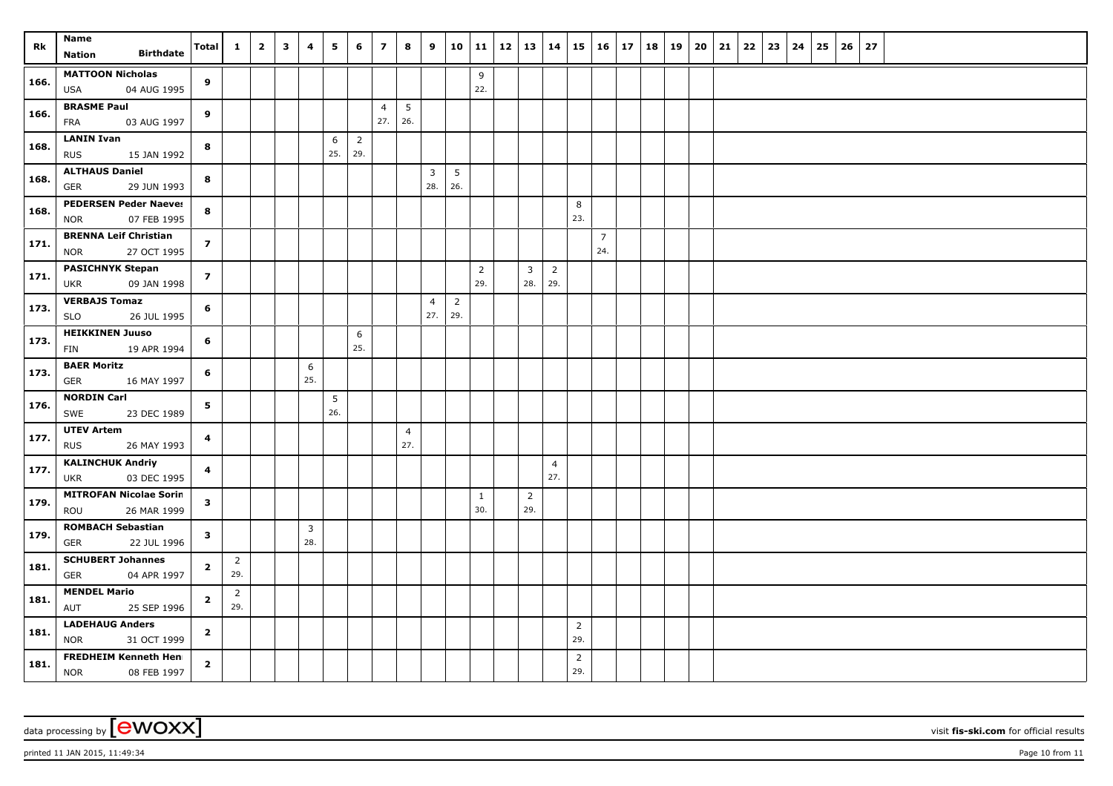| Rk   | Name<br><b>Birthdate</b><br>Nation                        | Total                   | $\mathbf{1}$          | $\overline{2}$ | $\overline{\mathbf{3}}$ | 4        | 5        | 6                     | $\overline{ }$ | 8              | 9                     |                       |                | 10   11   12   13   14 |                |                       | 15                    | $16 \mid 17$          |  | 18   19 | 20 | 21 | 22 | 23 | 24 | 25 | 26 | 27 |  |  |  |  |
|------|-----------------------------------------------------------|-------------------------|-----------------------|----------------|-------------------------|----------|----------|-----------------------|----------------|----------------|-----------------------|-----------------------|----------------|------------------------|----------------|-----------------------|-----------------------|-----------------------|--|---------|----|----|----|----|----|----|----|----|--|--|--|--|
|      | <b>MATTOON Nicholas</b>                                   |                         |                       |                |                         |          |          |                       |                |                |                       |                       | 9              |                        |                |                       |                       |                       |  |         |    |    |    |    |    |    |    |    |  |  |  |  |
| 166. | <b>USA</b><br>04 AUG 1995                                 | 9                       |                       |                |                         |          |          |                       |                |                |                       |                       | 22.            |                        |                |                       |                       |                       |  |         |    |    |    |    |    |    |    |    |  |  |  |  |
|      | <b>BRASME Paul</b>                                        |                         |                       |                |                         |          |          |                       | $\overline{4}$ | 5              |                       |                       |                |                        |                |                       |                       |                       |  |         |    |    |    |    |    |    |    |    |  |  |  |  |
| 166. | 03 AUG 1997<br>FRA                                        | 9                       |                       |                |                         |          |          |                       | 27.            | 26.            |                       |                       |                |                        |                |                       |                       |                       |  |         |    |    |    |    |    |    |    |    |  |  |  |  |
| 168. | <b>LANIN Ivan</b>                                         | 8                       |                       |                |                         |          | 6<br>25. | $\overline{2}$<br>29. |                |                |                       |                       |                |                        |                |                       |                       |                       |  |         |    |    |    |    |    |    |    |    |  |  |  |  |
|      | 15 JAN 1992<br><b>RUS</b><br><b>ALTHAUS Daniel</b>        |                         |                       |                |                         |          |          |                       |                |                | $\overline{3}$        | $5\phantom{.0}$       |                |                        |                |                       |                       |                       |  |         |    |    |    |    |    |    |    |    |  |  |  |  |
| 168. | GER<br>29 JUN 1993                                        | 8                       |                       |                |                         |          |          |                       |                |                | 28.                   | 26.                   |                |                        |                |                       |                       |                       |  |         |    |    |    |    |    |    |    |    |  |  |  |  |
| 168. | <b>PEDERSEN Peder Naeves</b>                              | 8                       |                       |                |                         |          |          |                       |                |                |                       |                       |                |                        |                |                       | 8                     |                       |  |         |    |    |    |    |    |    |    |    |  |  |  |  |
|      | <b>NOR</b><br>07 FEB 1995                                 |                         |                       |                |                         |          |          |                       |                |                |                       |                       |                |                        |                |                       | 23.                   |                       |  |         |    |    |    |    |    |    |    |    |  |  |  |  |
| 171. | <b>BRENNA Leif Christian</b><br>27 OCT 1995<br><b>NOR</b> | $\overline{z}$          |                       |                |                         |          |          |                       |                |                |                       |                       |                |                        |                |                       |                       | $\overline{7}$<br>24. |  |         |    |    |    |    |    |    |    |    |  |  |  |  |
| 171. | <b>PASICHNYK Stepan</b>                                   | $\overline{z}$          |                       |                |                         |          |          |                       |                |                |                       |                       | $\overline{2}$ |                        | 3              | $\overline{2}$        |                       |                       |  |         |    |    |    |    |    |    |    |    |  |  |  |  |
|      | 09 JAN 1998<br><b>UKR</b>                                 |                         |                       |                |                         |          |          |                       |                |                |                       |                       | 29.            |                        | 28.            | 29.                   |                       |                       |  |         |    |    |    |    |    |    |    |    |  |  |  |  |
| 173. | <b>VERBAJS Tomaz</b><br><b>SLO</b><br>26 JUL 1995         | 6                       |                       |                |                         |          |          |                       |                |                | $\overline{4}$<br>27. | $\overline{2}$<br>29. |                |                        |                |                       |                       |                       |  |         |    |    |    |    |    |    |    |    |  |  |  |  |
| 173. | <b>HEIKKINEN Juuso</b>                                    | 6                       |                       |                |                         |          |          | 6                     |                |                |                       |                       |                |                        |                |                       |                       |                       |  |         |    |    |    |    |    |    |    |    |  |  |  |  |
|      | <b>FIN</b><br>19 APR 1994                                 |                         |                       |                |                         |          |          | 25.                   |                |                |                       |                       |                |                        |                |                       |                       |                       |  |         |    |    |    |    |    |    |    |    |  |  |  |  |
| 173. | <b>BAER Moritz</b>                                        | 6                       |                       |                |                         | 6        |          |                       |                |                |                       |                       |                |                        |                |                       |                       |                       |  |         |    |    |    |    |    |    |    |    |  |  |  |  |
|      | <b>GER</b><br>16 MAY 1997<br><b>NORDIN Carl</b>           |                         |                       |                |                         | 25.      |          |                       |                |                |                       |                       |                |                        |                |                       |                       |                       |  |         |    |    |    |    |    |    |    |    |  |  |  |  |
| 176. | SWE<br>23 DEC 1989                                        | 5                       |                       |                |                         |          | 5<br>26. |                       |                |                |                       |                       |                |                        |                |                       |                       |                       |  |         |    |    |    |    |    |    |    |    |  |  |  |  |
| 177. | <b>UTEV Artem</b>                                         | $\overline{\mathbf{4}}$ |                       |                |                         |          |          |                       |                | $\overline{4}$ |                       |                       |                |                        |                |                       |                       |                       |  |         |    |    |    |    |    |    |    |    |  |  |  |  |
|      | 26 MAY 1993<br><b>RUS</b>                                 |                         |                       |                |                         |          |          |                       |                | 27.            |                       |                       |                |                        |                |                       |                       |                       |  |         |    |    |    |    |    |    |    |    |  |  |  |  |
| 177. | <b>KALINCHUK Andriy</b><br>03 DEC 1995<br><b>UKR</b>      | 4                       |                       |                |                         |          |          |                       |                |                |                       |                       |                |                        |                | $\overline{4}$<br>27. |                       |                       |  |         |    |    |    |    |    |    |    |    |  |  |  |  |
| 179. | <b>MITROFAN Nicolae Sorin</b>                             | 3                       |                       |                |                         |          |          |                       |                |                |                       |                       | $\mathbf{1}$   |                        | $\overline{2}$ |                       |                       |                       |  |         |    |    |    |    |    |    |    |    |  |  |  |  |
|      | 26 MAR 1999<br>ROU                                        |                         |                       |                |                         |          |          |                       |                |                |                       |                       | 30.            |                        | 29.            |                       |                       |                       |  |         |    |    |    |    |    |    |    |    |  |  |  |  |
| 179. | <b>ROMBACH Sebastian</b><br>22 JUL 1996<br>GER            | 3                       |                       |                |                         | 3<br>28. |          |                       |                |                |                       |                       |                |                        |                |                       |                       |                       |  |         |    |    |    |    |    |    |    |    |  |  |  |  |
| 181. | <b>SCHUBERT Johannes</b>                                  | $\overline{2}$          | $\overline{2}$        |                |                         |          |          |                       |                |                |                       |                       |                |                        |                |                       |                       |                       |  |         |    |    |    |    |    |    |    |    |  |  |  |  |
|      | 04 APR 1997<br><b>GER</b>                                 |                         | 29.                   |                |                         |          |          |                       |                |                |                       |                       |                |                        |                |                       |                       |                       |  |         |    |    |    |    |    |    |    |    |  |  |  |  |
| 181. | <b>MENDEL Mario</b>                                       | $\mathbf{2}$            | $\overline{2}$<br>29. |                |                         |          |          |                       |                |                |                       |                       |                |                        |                |                       |                       |                       |  |         |    |    |    |    |    |    |    |    |  |  |  |  |
|      | 25 SEP 1996<br>AUT<br><b>LADEHAUG Anders</b>              |                         |                       |                |                         |          |          |                       |                |                |                       |                       |                |                        |                |                       |                       |                       |  |         |    |    |    |    |    |    |    |    |  |  |  |  |
| 181. | <b>NOR</b><br>31 OCT 1999                                 | $\mathbf{2}$            |                       |                |                         |          |          |                       |                |                |                       |                       |                |                        |                |                       | $\overline{2}$<br>29. |                       |  |         |    |    |    |    |    |    |    |    |  |  |  |  |
| 181. | <b>FREDHEIM Kenneth Henr</b><br><b>NOR</b><br>08 FEB 1997 | $\overline{2}$          |                       |                |                         |          |          |                       |                |                |                       |                       |                |                        |                |                       | $\overline{2}$<br>29. |                       |  |         |    |    |    |    |    |    |    |    |  |  |  |  |

data processing by **CWOXX** visit fis-ski.com for official results

printed 11 JAN 2015, 11:49:34 Page 10 from 11